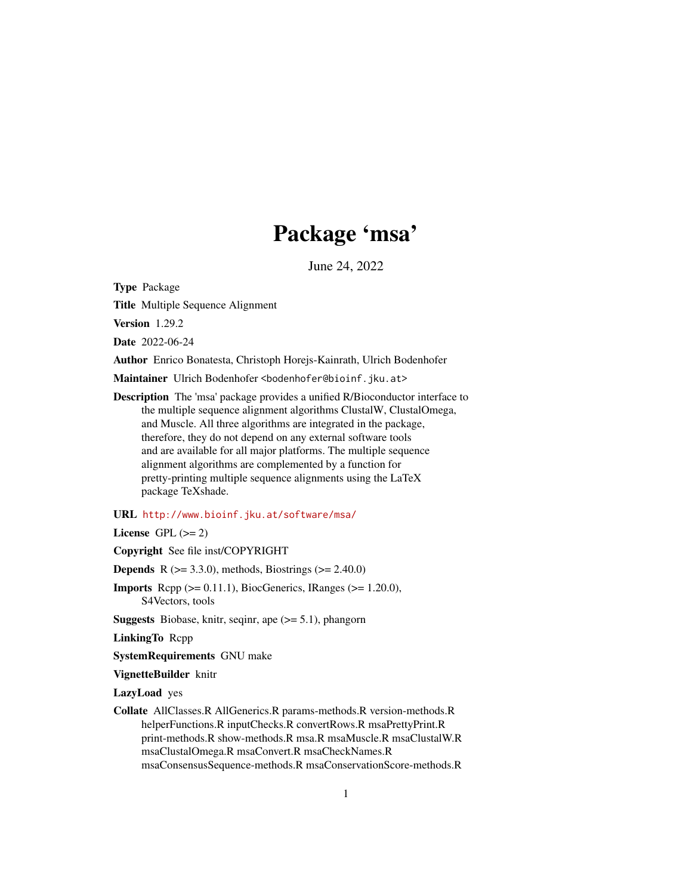# Package 'msa'

June 24, 2022

<span id="page-0-0"></span>Type Package

Title Multiple Sequence Alignment

Version 1.29.2

Date 2022-06-24

Author Enrico Bonatesta, Christoph Horejs-Kainrath, Ulrich Bodenhofer

Maintainer Ulrich Bodenhofer <br/>bodenhofer@bioinf.jku.at>

Description The 'msa' package provides a unified R/Bioconductor interface to the multiple sequence alignment algorithms ClustalW, ClustalOmega, and Muscle. All three algorithms are integrated in the package, therefore, they do not depend on any external software tools and are available for all major platforms. The multiple sequence alignment algorithms are complemented by a function for pretty-printing multiple sequence alignments using the LaTeX package TeXshade.

#### URL <http://www.bioinf.jku.at/software/msa/>

License GPL  $(>= 2)$ 

Copyright See file inst/COPYRIGHT

**Depends** R ( $> = 3.3.0$ ), methods, Biostrings ( $> = 2.40.0$ )

**Imports** Rcpp  $(>= 0.11.1)$ , BiocGenerics, IRanges  $(>= 1.20.0)$ , S4Vectors, tools

**Suggests** Biobase, knitr, seqinr, ape  $(>= 5.1)$ , phangorn

LinkingTo Rcpp

SystemRequirements GNU make

VignetteBuilder knitr

LazyLoad yes

Collate AllClasses.R AllGenerics.R params-methods.R version-methods.R helperFunctions.R inputChecks.R convertRows.R msaPrettyPrint.R print-methods.R show-methods.R msa.R msaMuscle.R msaClustalW.R msaClustalOmega.R msaConvert.R msaCheckNames.R msaConsensusSequence-methods.R msaConservationScore-methods.R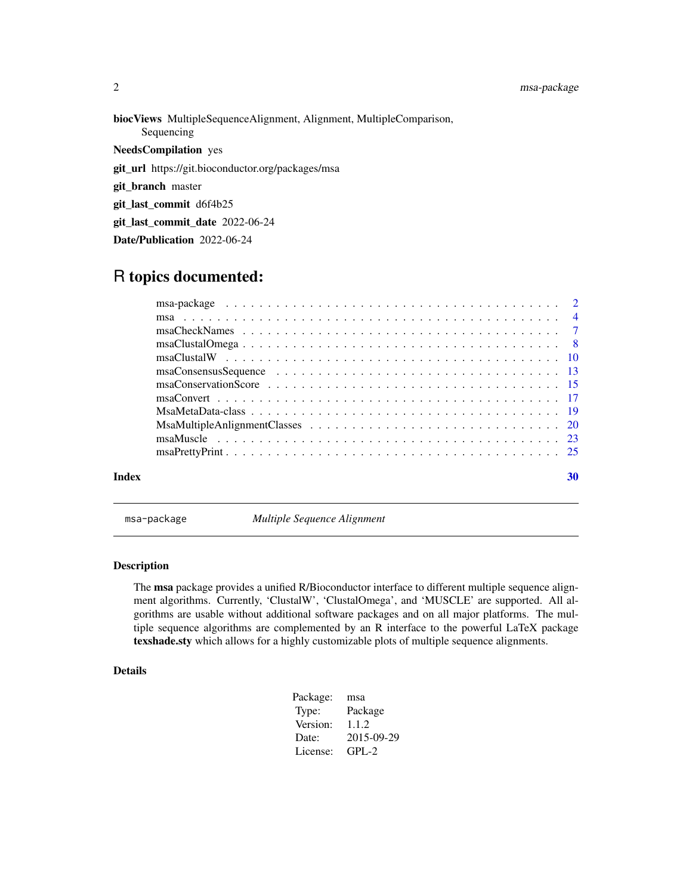biocViews MultipleSequenceAlignment, Alignment, MultipleComparison, Sequencing NeedsCompilation yes git\_url https://git.bioconductor.org/packages/msa git\_branch master git\_last\_commit d6f4b25

git\_last\_commit\_date 2022-06-24

Date/Publication 2022-06-24

# R topics documented:

| Index | 30 |
|-------|----|
|       |    |
|       |    |
|       |    |
|       |    |
|       |    |
|       |    |
|       |    |
|       |    |
|       |    |
|       |    |
|       |    |
|       |    |

msa-package *Multiple Sequence Alignment*

# Description

The msa package provides a unified R/Bioconductor interface to different multiple sequence alignment algorithms. Currently, 'ClustalW', 'ClustalOmega', and 'MUSCLE' are supported. All algorithms are usable without additional software packages and on all major platforms. The multiple sequence algorithms are complemented by an R interface to the powerful LaTeX package texshade.sty which allows for a highly customizable plots of multiple sequence alignments.

# Details

| Package: | msa        |
|----------|------------|
| Type:    | Package    |
| Version: | 1.1.2      |
| Date:    | 2015-09-29 |
| License: | $GPI - 2$  |

<span id="page-1-0"></span>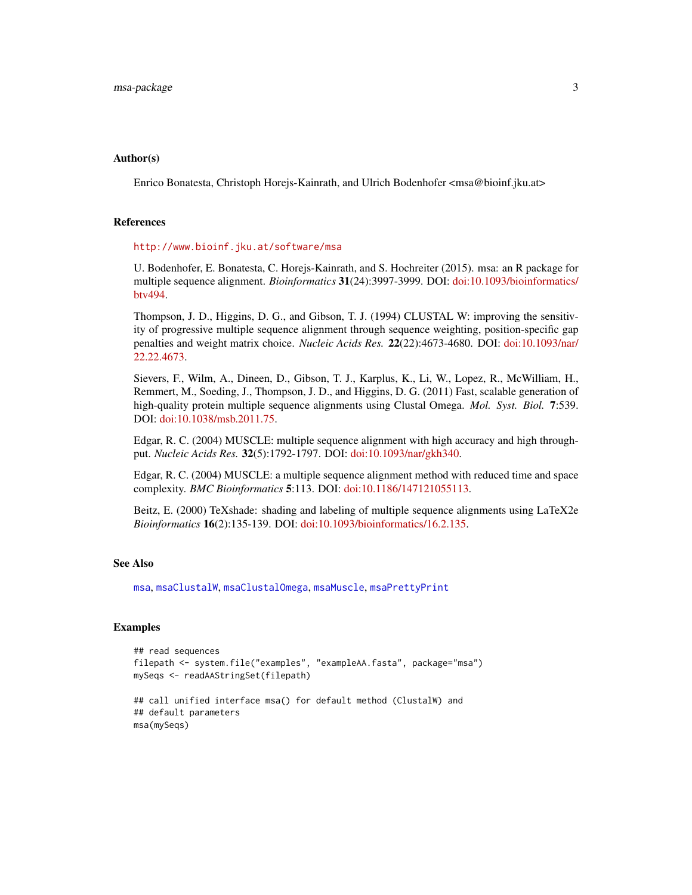#### <span id="page-2-0"></span>Author(s)

Enrico Bonatesta, Christoph Horejs-Kainrath, and Ulrich Bodenhofer <msa@bioinf.jku.at>

#### **References**

#### <http://www.bioinf.jku.at/software/msa>

U. Bodenhofer, E. Bonatesta, C. Horejs-Kainrath, and S. Hochreiter (2015). msa: an R package for multiple sequence alignment. *Bioinformatics* 31(24):3997-3999. DOI: [doi:10.1093/bioinformatics/](https://doi.org/10.1093/bioinformatics/btv494) [btv494.](https://doi.org/10.1093/bioinformatics/btv494)

Thompson, J. D., Higgins, D. G., and Gibson, T. J. (1994) CLUSTAL W: improving the sensitivity of progressive multiple sequence alignment through sequence weighting, position-specific gap penalties and weight matrix choice. *Nucleic Acids Res.* 22(22):4673-4680. DOI: [doi:10.1093/nar/](https://doi.org/10.1093/nar/22.22.4673) [22.22.4673.](https://doi.org/10.1093/nar/22.22.4673)

Sievers, F., Wilm, A., Dineen, D., Gibson, T. J., Karplus, K., Li, W., Lopez, R., McWilliam, H., Remmert, M., Soeding, J., Thompson, J. D., and Higgins, D. G. (2011) Fast, scalable generation of high-quality protein multiple sequence alignments using Clustal Omega. *Mol. Syst. Biol.* 7:539. DOI: [doi:10.1038/msb.2011.75.](https://doi.org/10.1038/msb.2011.75)

Edgar, R. C. (2004) MUSCLE: multiple sequence alignment with high accuracy and high throughput. *Nucleic Acids Res.* 32(5):1792-1797. DOI: [doi:10.1093/nar/gkh340.](https://doi.org/10.1093/nar/gkh340)

Edgar, R. C. (2004) MUSCLE: a multiple sequence alignment method with reduced time and space complexity. *BMC Bioinformatics* 5:113. DOI: [doi:10.1186/147121055113.](https://doi.org/10.1186/1471-2105-5-113)

Beitz, E. (2000) TeXshade: shading and labeling of multiple sequence alignments using LaTeX2e *Bioinformatics* 16(2):135-139. DOI: [doi:10.1093/bioinformatics/16.2.135.](https://doi.org/10.1093/bioinformatics/16.2.135)

#### See Also

[msa](#page-3-1), [msaClustalW](#page-9-1), [msaClustalOmega](#page-7-1), [msaMuscle](#page-22-1), [msaPrettyPrint](#page-24-1)

#### **Examples**

```
## read sequences
filepath <- system.file("examples", "exampleAA.fasta", package="msa")
mySeqs <- readAAStringSet(filepath)
## call unified interface msa() for default method (ClustalW) and
## default parameters
msa(mySeqs)
```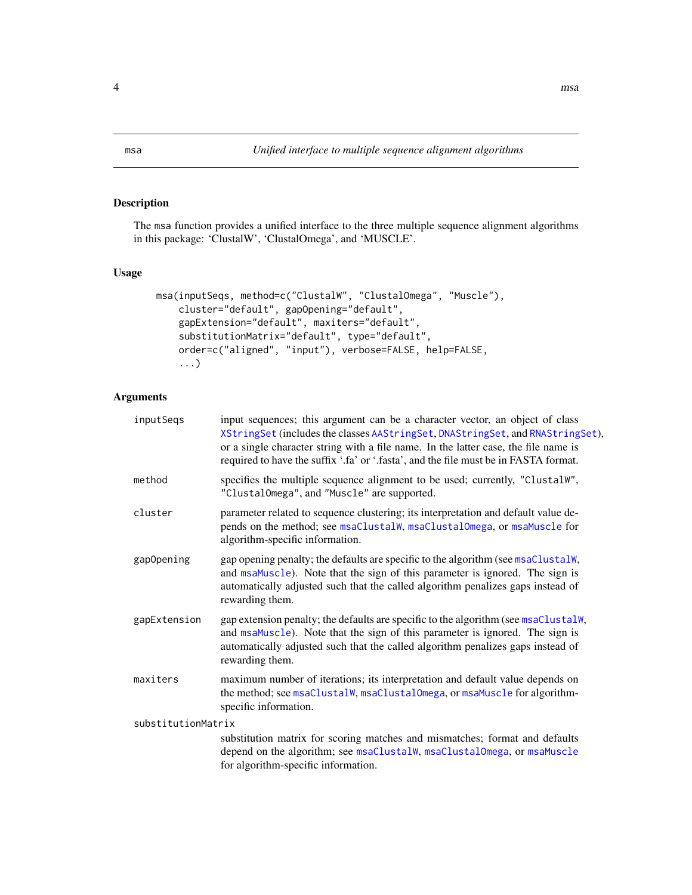# Description

The msa function provides a unified interface to the three multiple sequence alignment algorithms in this package: 'ClustalW', 'ClustalOmega', and 'MUSCLE'.

# Usage

```
msa(inputSeqs, method=c("ClustalW", "ClustalOmega", "Muscle"),
    cluster="default", gapOpening="default",
   gapExtension="default", maxiters="default",
    substitutionMatrix="default", type="default",
    order=c("aligned", "input"), verbose=FALSE, help=FALSE,
    ...)
```
# Arguments

| inputSegs          | input sequences; this argument can be a character vector, an object of class<br>XStringSet(includes the classes AAStringSet, DNAStringSet, and RNAStringSet),<br>or a single character string with a file name. In the latter case, the file name is<br>required to have the suffix '.fa' or '.fasta', and the file must be in FASTA format. |
|--------------------|----------------------------------------------------------------------------------------------------------------------------------------------------------------------------------------------------------------------------------------------------------------------------------------------------------------------------------------------|
| method             | specifies the multiple sequence alignment to be used; currently, "ClustalW",<br>"ClustalOmega", and "Muscle" are supported.                                                                                                                                                                                                                  |
| cluster            | parameter related to sequence clustering; its interpretation and default value de-<br>pends on the method; see msaClustalW, msaClustalOmega, or msaMuscle for<br>algorithm-specific information.                                                                                                                                             |
| gapOpening         | gap opening penalty; the defaults are specific to the algorithm (see msaClustalW,<br>and msaMuscle). Note that the sign of this parameter is ignored. The sign is<br>automatically adjusted such that the called algorithm penalizes gaps instead of<br>rewarding them.                                                                      |
| gapExtension       | gap extension penalty; the defaults are specific to the algorithm (see msaClustalW,<br>and msaMuscle). Note that the sign of this parameter is ignored. The sign is<br>automatically adjusted such that the called algorithm penalizes gaps instead of<br>rewarding them.                                                                    |
| maxiters           | maximum number of iterations; its interpretation and default value depends on<br>the method; see msaClustalW, msaClustalOmega, or msaMuscle for algorithm-<br>specific information.                                                                                                                                                          |
| substitutionMatrix |                                                                                                                                                                                                                                                                                                                                              |
|                    | substitution matrix for scoring matches and mismatches; format and defaults<br>depend on the algorithm; see msaClustalW, msaClustalOmega, or msaMuscle<br>for algorithm-specific information.                                                                                                                                                |

<span id="page-3-1"></span><span id="page-3-0"></span>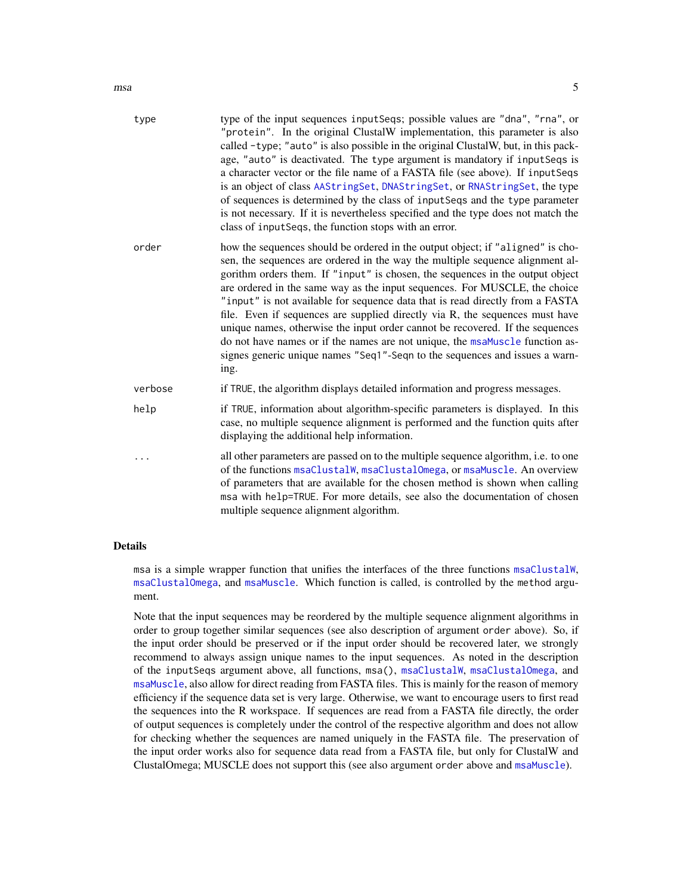<span id="page-4-0"></span>

| type    | type of the input sequences inputSeqs; possible values are "dna", "rna", or<br>"protein". In the original ClustalW implementation, this parameter is also<br>called -type; "auto" is also possible in the original ClustalW, but, in this pack-<br>age, "auto" is deactivated. The type argument is mandatory if inputSeqs is<br>a character vector or the file name of a FASTA file (see above). If inputSeqs<br>is an object of class AAStringSet, DNAStringSet, or RNAStringSet, the type<br>of sequences is determined by the class of inputSeqs and the type parameter<br>is not necessary. If it is nevertheless specified and the type does not match the<br>class of inputSeqs, the function stops with an error.                               |
|---------|---------------------------------------------------------------------------------------------------------------------------------------------------------------------------------------------------------------------------------------------------------------------------------------------------------------------------------------------------------------------------------------------------------------------------------------------------------------------------------------------------------------------------------------------------------------------------------------------------------------------------------------------------------------------------------------------------------------------------------------------------------|
| order   | how the sequences should be ordered in the output object; if "aligned" is cho-<br>sen, the sequences are ordered in the way the multiple sequence alignment al-<br>gorithm orders them. If "input" is chosen, the sequences in the output object<br>are ordered in the same way as the input sequences. For MUSCLE, the choice<br>"input" is not available for sequence data that is read directly from a FASTA<br>file. Even if sequences are supplied directly via R, the sequences must have<br>unique names, otherwise the input order cannot be recovered. If the sequences<br>do not have names or if the names are not unique, the msaMuscle function as-<br>signes generic unique names "Seq1"-Seqn to the sequences and issues a warn-<br>ing. |
| verbose | if TRUE, the algorithm displays detailed information and progress messages.                                                                                                                                                                                                                                                                                                                                                                                                                                                                                                                                                                                                                                                                             |
| help    | if TRUE, information about algorithm-specific parameters is displayed. In this<br>case, no multiple sequence alignment is performed and the function quits after<br>displaying the additional help information.                                                                                                                                                                                                                                                                                                                                                                                                                                                                                                                                         |
|         | all other parameters are passed on to the multiple sequence algorithm, i.e. to one<br>of the functions msaClustalW, msaClustalOmega, or msaMuscle. An overview<br>of parameters that are available for the chosen method is shown when calling<br>msa with help=TRUE. For more details, see also the documentation of chosen<br>multiple sequence alignment algorithm.                                                                                                                                                                                                                                                                                                                                                                                  |

### Details

msa is a simple wrapper function that unifies the interfaces of the three functions [msaClustalW](#page-9-1), [msaClustalOmega](#page-7-1), and [msaMuscle](#page-22-1). Which function is called, is controlled by the method argument.

Note that the input sequences may be reordered by the multiple sequence alignment algorithms in order to group together similar sequences (see also description of argument order above). So, if the input order should be preserved or if the input order should be recovered later, we strongly recommend to always assign unique names to the input sequences. As noted in the description of the inputSeqs argument above, all functions, msa(), [msaClustalW](#page-9-1), [msaClustalOmega](#page-7-1), and [msaMuscle](#page-22-1), also allow for direct reading from FASTA files. This is mainly for the reason of memory efficiency if the sequence data set is very large. Otherwise, we want to encourage users to first read the sequences into the R workspace. If sequences are read from a FASTA file directly, the order of output sequences is completely under the control of the respective algorithm and does not allow for checking whether the sequences are named uniquely in the FASTA file. The preservation of the input order works also for sequence data read from a FASTA file, but only for ClustalW and ClustalOmega; MUSCLE does not support this (see also argument order above and [msaMuscle](#page-22-1)).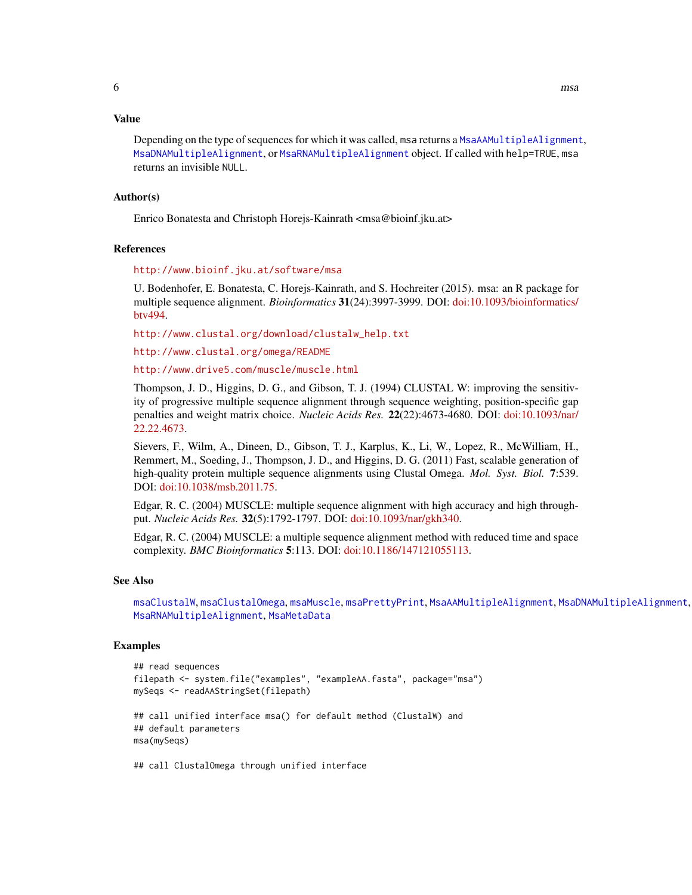#### <span id="page-5-0"></span>Value

Depending on the type of sequences for which it was called, msa returns a [MsaAAMultipleAlignment](#page-19-1), [MsaDNAMultipleAlignment](#page-19-1), or [MsaRNAMultipleAlignment](#page-19-1) object. If called with help=TRUE, msa returns an invisible NULL.

#### Author(s)

Enrico Bonatesta and Christoph Horejs-Kainrath <msa@bioinf.jku.at>

# References

<http://www.bioinf.jku.at/software/msa>

U. Bodenhofer, E. Bonatesta, C. Horejs-Kainrath, and S. Hochreiter (2015). msa: an R package for multiple sequence alignment. *Bioinformatics* 31(24):3997-3999. DOI: [doi:10.1093/bioinformatics/](https://doi.org/10.1093/bioinformatics/btv494) [btv494.](https://doi.org/10.1093/bioinformatics/btv494)

[http://www.clustal.org/download/clustalw\\_help.txt](http://www.clustal.org/download/clustalw_help.txt)

<http://www.clustal.org/omega/README>

<http://www.drive5.com/muscle/muscle.html>

Thompson, J. D., Higgins, D. G., and Gibson, T. J. (1994) CLUSTAL W: improving the sensitivity of progressive multiple sequence alignment through sequence weighting, position-specific gap penalties and weight matrix choice. *Nucleic Acids Res.* 22(22):4673-4680. DOI: [doi:10.1093/nar/](https://doi.org/10.1093/nar/22.22.4673) [22.22.4673.](https://doi.org/10.1093/nar/22.22.4673)

Sievers, F., Wilm, A., Dineen, D., Gibson, T. J., Karplus, K., Li, W., Lopez, R., McWilliam, H., Remmert, M., Soeding, J., Thompson, J. D., and Higgins, D. G. (2011) Fast, scalable generation of high-quality protein multiple sequence alignments using Clustal Omega. *Mol. Syst. Biol.* 7:539. DOI: [doi:10.1038/msb.2011.75.](https://doi.org/10.1038/msb.2011.75)

Edgar, R. C. (2004) MUSCLE: multiple sequence alignment with high accuracy and high throughput. *Nucleic Acids Res.* 32(5):1792-1797. DOI: [doi:10.1093/nar/gkh340.](https://doi.org/10.1093/nar/gkh340)

Edgar, R. C. (2004) MUSCLE: a multiple sequence alignment method with reduced time and space complexity. *BMC Bioinformatics* 5:113. DOI: [doi:10.1186/147121055113.](https://doi.org/10.1186/1471-2105-5-113)

#### See Also

```
msaClustalW, msaClustalOmega, msaMuscle, msaPrettyPrint, MsaAAMultipleAlignment, MsaDNAMultipleAlignment,
MsaRNAMultipleAlignment, MsaMetaData
```
#### Examples

```
## read sequences
filepath <- system.file("examples", "exampleAA.fasta", package="msa")
mySeqs <- readAAStringSet(filepath)
## call unified interface msa() for default method (ClustalW) and
## default parameters
msa(mySeqs)
```
## call ClustalOmega through unified interface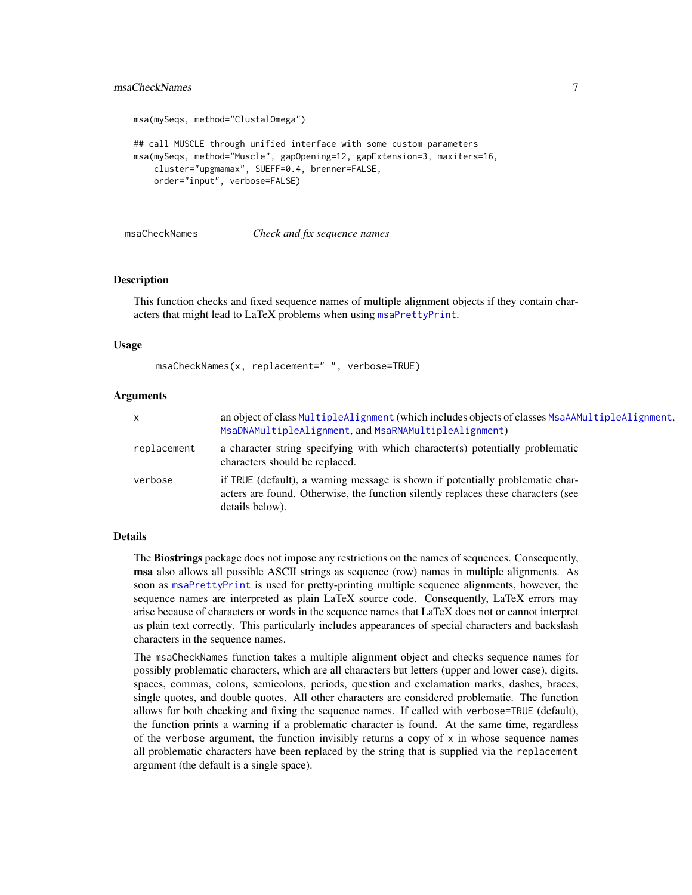# <span id="page-6-0"></span>msaCheckNames 7

```
msa(mySeqs, method="ClustalOmega")
## call MUSCLE through unified interface with some custom parameters
msa(mySeqs, method="Muscle", gapOpening=12, gapExtension=3, maxiters=16,
    cluster="upgmamax", SUEFF=0.4, brenner=FALSE,
    order="input", verbose=FALSE)
```
#### msaCheckNames *Check and fix sequence names*

#### Description

This function checks and fixed sequence names of multiple alignment objects if they contain characters that might lead to LaTeX problems when using [msaPrettyPrint](#page-24-1).

#### Usage

msaCheckNames(x, replacement=" ", verbose=TRUE)

#### Arguments

| x           | an object of class MultipleAlignment (which includes objects of classes MsaAAMultipleAlignment,<br>MsaDNAMultipleAlignment, and MsaRNAMultipleAlignment)                               |
|-------------|----------------------------------------------------------------------------------------------------------------------------------------------------------------------------------------|
| replacement | a character string specifying with which character(s) potentially problematic<br>characters should be replaced.                                                                        |
| verbose     | if TRUE (default), a warning message is shown if potentially problematic char-<br>acters are found. Otherwise, the function silently replaces these characters (see<br>details below). |

#### Details

The Biostrings package does not impose any restrictions on the names of sequences. Consequently, msa also allows all possible ASCII strings as sequence (row) names in multiple alignments. As soon as [msaPrettyPrint](#page-24-1) is used for pretty-printing multiple sequence alignments, however, the sequence names are interpreted as plain LaTeX source code. Consequently, LaTeX errors may arise because of characters or words in the sequence names that LaTeX does not or cannot interpret as plain text correctly. This particularly includes appearances of special characters and backslash characters in the sequence names.

The msaCheckNames function takes a multiple alignment object and checks sequence names for possibly problematic characters, which are all characters but letters (upper and lower case), digits, spaces, commas, colons, semicolons, periods, question and exclamation marks, dashes, braces, single quotes, and double quotes. All other characters are considered problematic. The function allows for both checking and fixing the sequence names. If called with verbose=TRUE (default), the function prints a warning if a problematic character is found. At the same time, regardless of the verbose argument, the function invisibly returns a copy of  $x$  in whose sequence names all problematic characters have been replaced by the string that is supplied via the replacement argument (the default is a single space).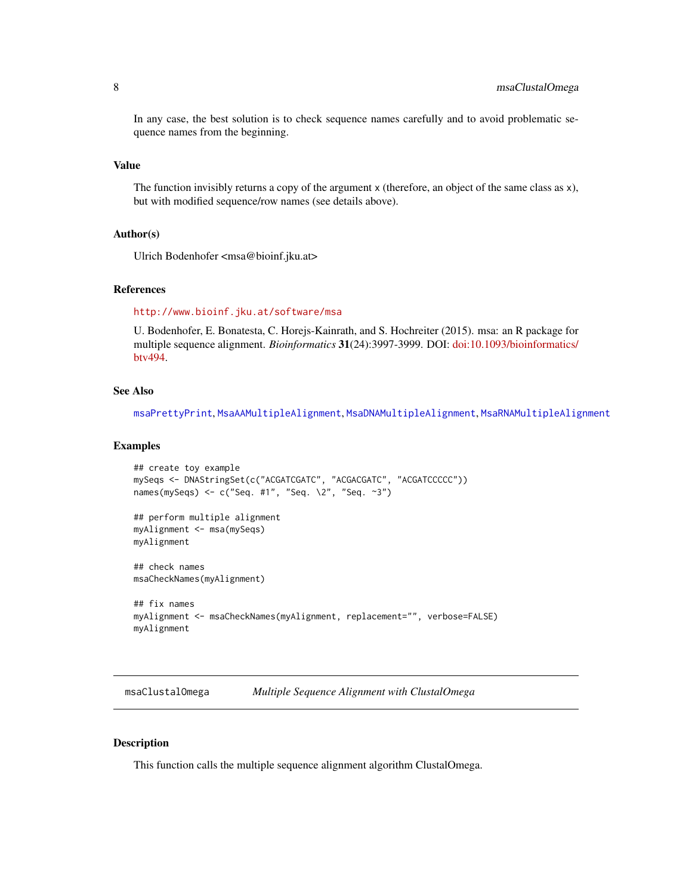<span id="page-7-0"></span>In any case, the best solution is to check sequence names carefully and to avoid problematic sequence names from the beginning.

#### Value

The function invisibly returns a copy of the argument x (therefore, an object of the same class as x), but with modified sequence/row names (see details above).

#### Author(s)

Ulrich Bodenhofer <msa@bioinf.jku.at>

#### References

#### <http://www.bioinf.jku.at/software/msa>

U. Bodenhofer, E. Bonatesta, C. Horejs-Kainrath, and S. Hochreiter (2015). msa: an R package for multiple sequence alignment. *Bioinformatics* 31(24):3997-3999. DOI: [doi:10.1093/bioinformatics/](https://doi.org/10.1093/bioinformatics/btv494) [btv494.](https://doi.org/10.1093/bioinformatics/btv494)

# See Also

[msaPrettyPrint](#page-24-1), [MsaAAMultipleAlignment](#page-19-1), [MsaDNAMultipleAlignment](#page-19-1), [MsaRNAMultipleAlignment](#page-19-1)

#### Examples

```
## create toy example
mySeqs <- DNAStringSet(c("ACGATCGATC", "ACGACGATC", "ACGATCCCCC"))
names(mySeqs) <- c("Seq. #1", "Seq. \2", "Seq. ~3")
## perform multiple alignment
myAlignment <- msa(mySeqs)
myAlignment
## check names
msaCheckNames(myAlignment)
## fix names
myAlignment <- msaCheckNames(myAlignment, replacement="", verbose=FALSE)
myAlignment
```
<span id="page-7-1"></span>msaClustalOmega *Multiple Sequence Alignment with ClustalOmega*

#### Description

This function calls the multiple sequence alignment algorithm ClustalOmega.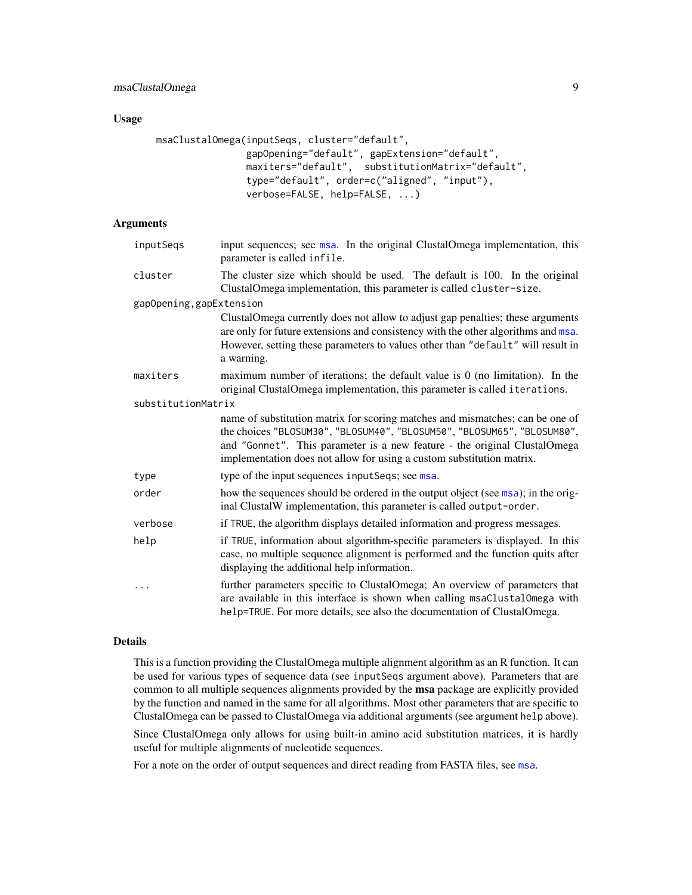# <span id="page-8-0"></span>Usage

```
msaClustalOmega(inputSeqs, cluster="default",
               gapOpening="default", gapExtension="default",
               maxiters="default", substitutionMatrix="default",
                type="default", order=c("aligned", "input"),
                verbose=FALSE, help=FALSE, ...)
```
# Arguments

| inputSeqs                | input sequences; see msa. In the original ClustalOmega implementation, this<br>parameter is called infile.                                                                                                                                                                                                     |
|--------------------------|----------------------------------------------------------------------------------------------------------------------------------------------------------------------------------------------------------------------------------------------------------------------------------------------------------------|
| cluster                  | The cluster size which should be used. The default is 100. In the original<br>ClustalOmega implementation, this parameter is called cluster-size.                                                                                                                                                              |
| gapOpening, gapExtension |                                                                                                                                                                                                                                                                                                                |
|                          | ClustalOmega currently does not allow to adjust gap penalties; these arguments<br>are only for future extensions and consistency with the other algorithms and msa.<br>However, setting these parameters to values other than "default" will result in<br>a warning.                                           |
| maxiters                 | maximum number of iterations; the default value is $\theta$ (no limitation). In the<br>original ClustalOmega implementation, this parameter is called iterations.                                                                                                                                              |
| substitutionMatrix       |                                                                                                                                                                                                                                                                                                                |
|                          | name of substitution matrix for scoring matches and mismatches; can be one of<br>the choices "BLOSUM30", "BLOSUM40", "BLOSUM50", "BLOSUM65", "BLOSUM80",<br>and "Gonnet". This parameter is a new feature - the original ClustalOmega<br>implementation does not allow for using a custom substitution matrix. |
| type                     | type of the input sequences input Seqs; see msa.                                                                                                                                                                                                                                                               |
| order                    | how the sequences should be ordered in the output object (see msa); in the orig-<br>inal ClustalW implementation, this parameter is called output-order.                                                                                                                                                       |
| verbose                  | if TRUE, the algorithm displays detailed information and progress messages.                                                                                                                                                                                                                                    |
| help                     | if TRUE, information about algorithm-specific parameters is displayed. In this<br>case, no multiple sequence alignment is performed and the function quits after<br>displaying the additional help information.                                                                                                |
| .                        | further parameters specific to ClustalOmega; An overview of parameters that<br>are available in this interface is shown when calling msaClustalOmega with<br>help=TRUE. For more details, see also the documentation of ClustalOmega.                                                                          |

# Details

This is a function providing the ClustalOmega multiple alignment algorithm as an R function. It can be used for various types of sequence data (see inputSeqs argument above). Parameters that are common to all multiple sequences alignments provided by the msa package are explicitly provided by the function and named in the same for all algorithms. Most other parameters that are specific to ClustalOmega can be passed to ClustalOmega via additional arguments (see argument help above).

Since ClustalOmega only allows for using built-in amino acid substitution matrices, it is hardly useful for multiple alignments of nucleotide sequences.

For a note on the order of output sequences and direct reading from FASTA files, see [msa](#page-3-1).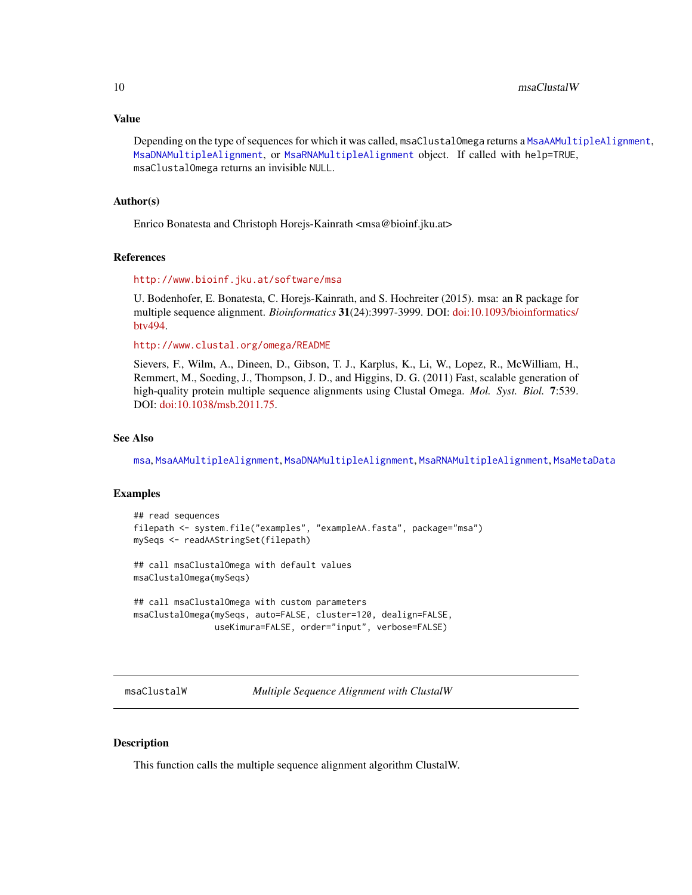#### <span id="page-9-0"></span>Value

Depending on the type of sequences for which it was called, msaClustalOmega returns a [MsaAAMultipleAlignment](#page-19-1), [MsaDNAMultipleAlignment](#page-19-1), or [MsaRNAMultipleAlignment](#page-19-1) object. If called with help=TRUE, msaClustalOmega returns an invisible NULL.

#### Author(s)

Enrico Bonatesta and Christoph Horejs-Kainrath <msa@bioinf.jku.at>

#### References

#### <http://www.bioinf.jku.at/software/msa>

U. Bodenhofer, E. Bonatesta, C. Horejs-Kainrath, and S. Hochreiter (2015). msa: an R package for multiple sequence alignment. *Bioinformatics* 31(24):3997-3999. DOI: [doi:10.1093/bioinformatics/](https://doi.org/10.1093/bioinformatics/btv494) [btv494.](https://doi.org/10.1093/bioinformatics/btv494)

<http://www.clustal.org/omega/README>

Sievers, F., Wilm, A., Dineen, D., Gibson, T. J., Karplus, K., Li, W., Lopez, R., McWilliam, H., Remmert, M., Soeding, J., Thompson, J. D., and Higgins, D. G. (2011) Fast, scalable generation of high-quality protein multiple sequence alignments using Clustal Omega. *Mol. Syst. Biol.* 7:539. DOI: [doi:10.1038/msb.2011.75.](https://doi.org/10.1038/msb.2011.75)

#### See Also

[msa](#page-3-1), [MsaAAMultipleAlignment](#page-19-1), [MsaDNAMultipleAlignment](#page-19-1), [MsaRNAMultipleAlignment](#page-19-1), [MsaMetaData](#page-18-1)

#### Examples

```
## read sequences
filepath <- system.file("examples", "exampleAA.fasta", package="msa")
mySeqs <- readAAStringSet(filepath)
## call msaClustalOmega with default values
msaClustalOmega(mySeqs)
## call msaClustalOmega with custom parameters
msaClustalOmega(mySeqs, auto=FALSE, cluster=120, dealign=FALSE,
                useKimura=FALSE, order="input", verbose=FALSE)
```
<span id="page-9-1"></span>msaClustalW *Multiple Sequence Alignment with ClustalW*

#### **Description**

This function calls the multiple sequence alignment algorithm ClustalW.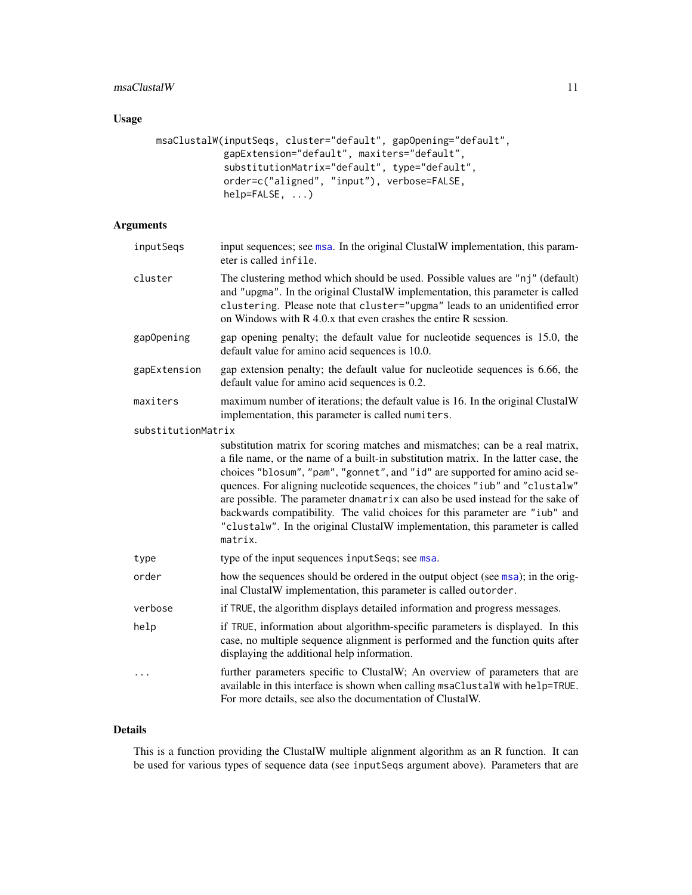#### msaClustalW 11

# Usage

```
msaClustalW(inputSeqs, cluster="default", gapOpening="default",
            gapExtension="default", maxiters="default",
            substitutionMatrix="default", type="default",
            order=c("aligned", "input"), verbose=FALSE,
            help=FALSE, ...)
```
# Arguments

| inputSeqs          | input sequences; see msa. In the original ClustalW implementation, this param-<br>eter is called infile.                                                                                                                                                                                                                                                                                                                                                                                                                                                                                          |
|--------------------|---------------------------------------------------------------------------------------------------------------------------------------------------------------------------------------------------------------------------------------------------------------------------------------------------------------------------------------------------------------------------------------------------------------------------------------------------------------------------------------------------------------------------------------------------------------------------------------------------|
| cluster            | The clustering method which should be used. Possible values are "nj" (default)<br>and "upgma". In the original ClustalW implementation, this parameter is called<br>clustering. Please note that cluster="upgma" leads to an unidentified error<br>on Windows with $R$ 4.0. $x$ that even crashes the entire $R$ session.                                                                                                                                                                                                                                                                         |
| gapOpening         | gap opening penalty; the default value for nucleotide sequences is 15.0, the<br>default value for amino acid sequences is 10.0.                                                                                                                                                                                                                                                                                                                                                                                                                                                                   |
| gapExtension       | gap extension penalty; the default value for nucleotide sequences is 6.66, the<br>default value for amino acid sequences is 0.2.                                                                                                                                                                                                                                                                                                                                                                                                                                                                  |
| maxiters           | maximum number of iterations; the default value is 16. In the original ClustalW<br>implementation, this parameter is called numiters.                                                                                                                                                                                                                                                                                                                                                                                                                                                             |
| substitutionMatrix |                                                                                                                                                                                                                                                                                                                                                                                                                                                                                                                                                                                                   |
|                    | substitution matrix for scoring matches and mismatches; can be a real matrix,<br>a file name, or the name of a built-in substitution matrix. In the latter case, the<br>choices "blosum", "pam", "gonnet", and "id" are supported for amino acid se-<br>quences. For aligning nucleotide sequences, the choices "iub" and "clustalw"<br>are possible. The parameter dnamatrix can also be used instead for the sake of<br>backwards compatibility. The valid choices for this parameter are "iub" and<br>"clustalw". In the original ClustalW implementation, this parameter is called<br>matrix. |
| type               | type of the input sequences input Seqs; see msa.                                                                                                                                                                                                                                                                                                                                                                                                                                                                                                                                                  |
| order              | how the sequences should be ordered in the output object (see msa); in the orig-<br>inal ClustalW implementation, this parameter is called outorder.                                                                                                                                                                                                                                                                                                                                                                                                                                              |
| verbose            | if TRUE, the algorithm displays detailed information and progress messages.                                                                                                                                                                                                                                                                                                                                                                                                                                                                                                                       |
| help               | if TRUE, information about algorithm-specific parameters is displayed. In this<br>case, no multiple sequence alignment is performed and the function quits after<br>displaying the additional help information.                                                                                                                                                                                                                                                                                                                                                                                   |
| $\cdots$           | further parameters specific to ClustalW; An overview of parameters that are<br>available in this interface is shown when calling msaClustalW with help=TRUE.<br>For more details, see also the documentation of ClustalW.                                                                                                                                                                                                                                                                                                                                                                         |

## Details

This is a function providing the ClustalW multiple alignment algorithm as an R function. It can be used for various types of sequence data (see inputSeqs argument above). Parameters that are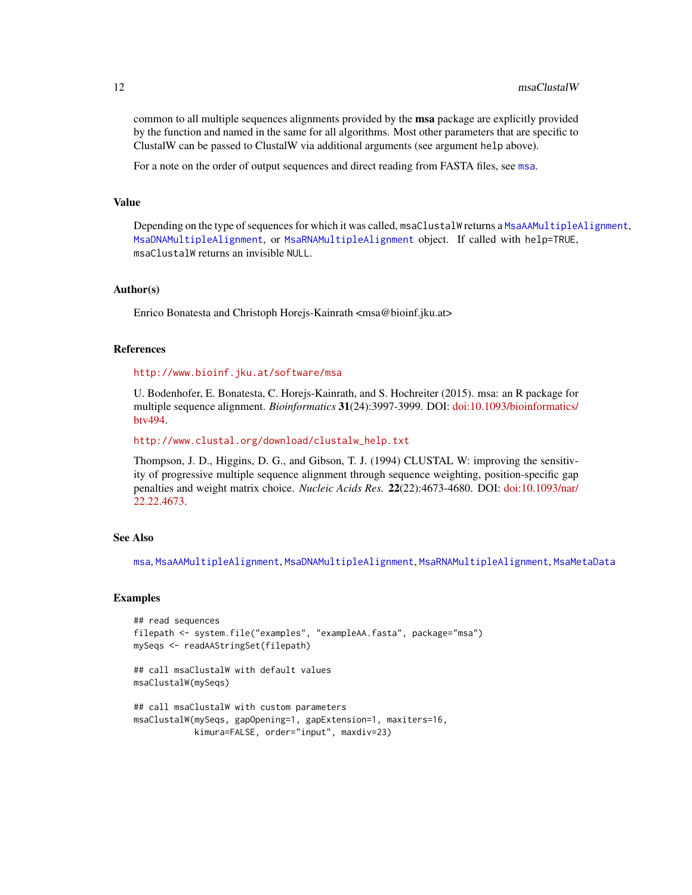<span id="page-11-0"></span>common to all multiple sequences alignments provided by the **msa** package are explicitly provided by the function and named in the same for all algorithms. Most other parameters that are specific to ClustalW can be passed to ClustalW via additional arguments (see argument help above).

For a note on the order of output sequences and direct reading from FASTA files, see [msa](#page-3-1).

#### Value

Depending on the type of sequences for which it was called, msaClustalW returns a [MsaAAMultipleAlignment](#page-19-1), [MsaDNAMultipleAlignment](#page-19-1), or [MsaRNAMultipleAlignment](#page-19-1) object. If called with help=TRUE, msaClustalW returns an invisible NULL.

#### Author(s)

Enrico Bonatesta and Christoph Horejs-Kainrath <msa@bioinf.jku.at>

#### References

<http://www.bioinf.jku.at/software/msa>

U. Bodenhofer, E. Bonatesta, C. Horejs-Kainrath, and S. Hochreiter (2015). msa: an R package for multiple sequence alignment. *Bioinformatics* 31(24):3997-3999. DOI: [doi:10.1093/bioinformatics/](https://doi.org/10.1093/bioinformatics/btv494) [btv494.](https://doi.org/10.1093/bioinformatics/btv494)

[http://www.clustal.org/download/clustalw\\_help.txt](http://www.clustal.org/download/clustalw_help.txt)

Thompson, J. D., Higgins, D. G., and Gibson, T. J. (1994) CLUSTAL W: improving the sensitivity of progressive multiple sequence alignment through sequence weighting, position-specific gap penalties and weight matrix choice. *Nucleic Acids Res.* 22(22):4673-4680. DOI: [doi:10.1093/nar/](https://doi.org/10.1093/nar/22.22.4673) [22.22.4673.](https://doi.org/10.1093/nar/22.22.4673)

#### See Also

[msa](#page-3-1), [MsaAAMultipleAlignment](#page-19-1), [MsaDNAMultipleAlignment](#page-19-1), [MsaRNAMultipleAlignment](#page-19-1), [MsaMetaData](#page-18-1)

#### Examples

```
## read sequences
filepath <- system.file("examples", "exampleAA.fasta", package="msa")
mySeqs <- readAAStringSet(filepath)
## call msaClustalW with default values
msaClustalW(mySeqs)
## call msaClustalW with custom parameters
msaClustalW(mySeqs, gapOpening=1, gapExtension=1, maxiters=16,
            kimura=FALSE, order="input", maxdiv=23)
```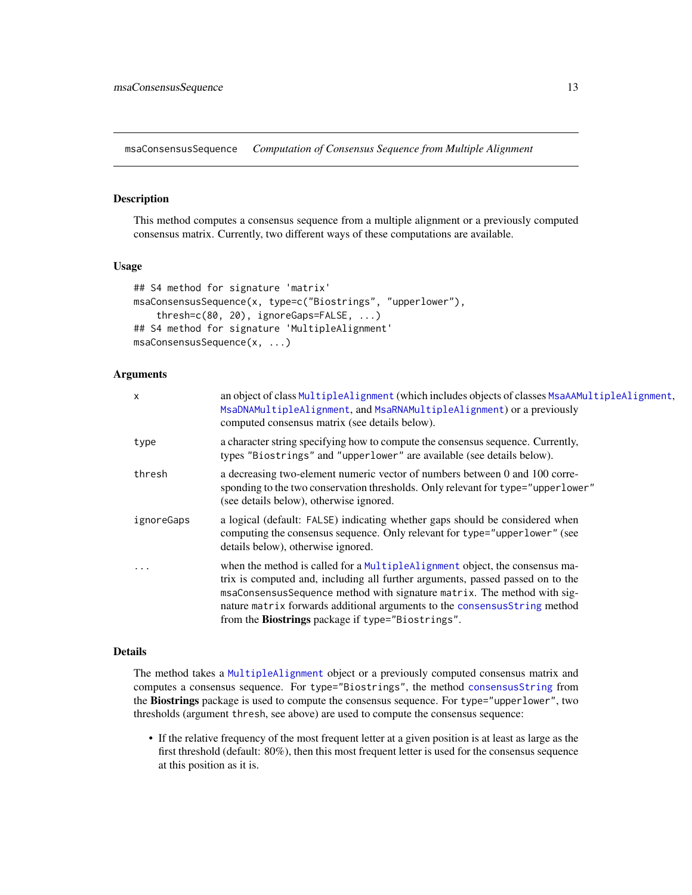<span id="page-12-1"></span><span id="page-12-0"></span>msaConsensusSequence *Computation of Consensus Sequence from Multiple Alignment*

# Description

This method computes a consensus sequence from a multiple alignment or a previously computed consensus matrix. Currently, two different ways of these computations are available.

### Usage

```
## S4 method for signature 'matrix'
msaConsensusSequence(x, type=c("Biostrings", "upperlower"),
    thresh=c(80, 20), ignoreGaps=FALSE, ...)
## S4 method for signature 'MultipleAlignment'
msaConsensusSequence(x, ...)
```
#### Arguments

| $\times$   | an object of class MultipleAlignment (which includes objects of classes MsaAAMultipleAlignment,<br>MsaDNAMultipleAlignment, and MsaRNAMultipleAlignment) or a previously<br>computed consensus matrix (see details below).                                                                                                                                                  |
|------------|-----------------------------------------------------------------------------------------------------------------------------------------------------------------------------------------------------------------------------------------------------------------------------------------------------------------------------------------------------------------------------|
| type       | a character string specifying how to compute the consensus sequence. Currently,<br>types "Biostrings" and "upperlower" are available (see details below).                                                                                                                                                                                                                   |
| thresh     | a decreasing two-element numeric vector of numbers between 0 and 100 corre-<br>sponding to the two conservation thresholds. Only relevant for type="upperlower"<br>(see details below), otherwise ignored.                                                                                                                                                                  |
| ignoreGaps | a logical (default: FALSE) indicating whether gaps should be considered when<br>computing the consensus sequence. Only relevant for type="upperlower" (see<br>details below), otherwise ignored.                                                                                                                                                                            |
| $\ddotsc$  | when the method is called for a MultipleAlignment object, the consensus ma-<br>trix is computed and, including all further arguments, passed passed on to the<br>msaConsensusSequence method with signature matrix. The method with sig-<br>nature matrix forwards additional arguments to the consensus String method<br>from the Biostrings package if type="Biostrings". |

# Details

The method takes a [MultipleAlignment](#page-0-0) object or a previously computed consensus matrix and computes a consensus sequence. For type="Biostrings", the method [consensusString](#page-0-0) from the Biostrings package is used to compute the consensus sequence. For type="upperlower", two thresholds (argument thresh, see above) are used to compute the consensus sequence:

• If the relative frequency of the most frequent letter at a given position is at least as large as the first threshold (default: 80%), then this most frequent letter is used for the consensus sequence at this position as it is.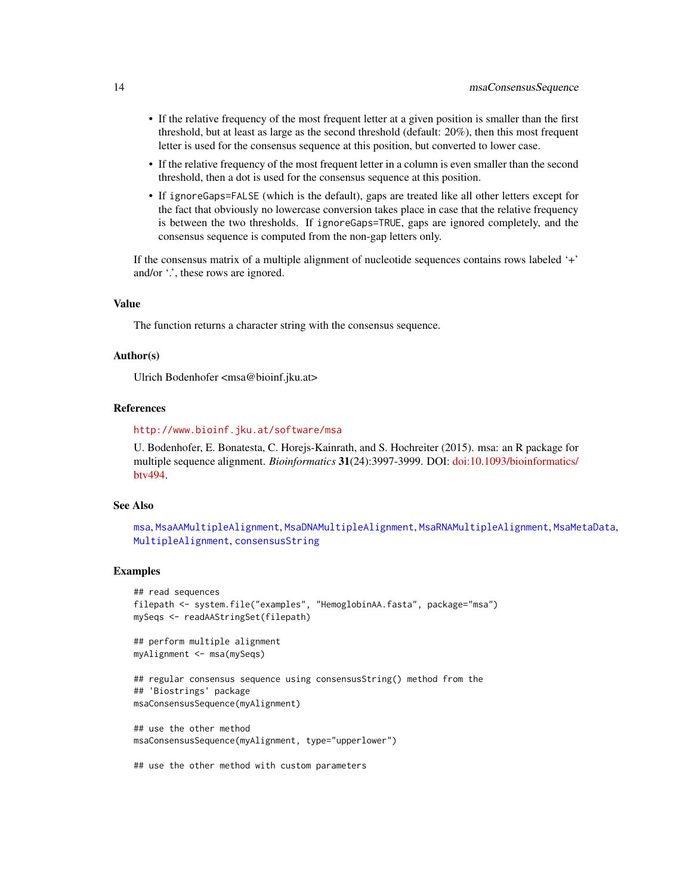- <span id="page-13-0"></span>• If the relative frequency of the most frequent letter at a given position is smaller than the first threshold, but at least as large as the second threshold (default: 20%), then this most frequent letter is used for the consensus sequence at this position, but converted to lower case.
- If the relative frequency of the most frequent letter in a column is even smaller than the second threshold, then a dot is used for the consensus sequence at this position.
- If ignoreGaps=FALSE (which is the default), gaps are treated like all other letters except for the fact that obviously no lowercase conversion takes place in case that the relative frequency is between the two thresholds. If ignoreGaps=TRUE, gaps are ignored completely, and the consensus sequence is computed from the non-gap letters only.

If the consensus matrix of a multiple alignment of nucleotide sequences contains rows labeled '+' and/or  $\therefore$ , these rows are ignored.

#### Value

The function returns a character string with the consensus sequence.

#### Author(s)

Ulrich Bodenhofer <msa@bioinf.jku.at>

#### References

#### <http://www.bioinf.jku.at/software/msa>

U. Bodenhofer, E. Bonatesta, C. Horejs-Kainrath, and S. Hochreiter (2015). msa: an R package for multiple sequence alignment. *Bioinformatics* 31(24):3997-3999. DOI: [doi:10.1093/bioinformatics/](https://doi.org/10.1093/bioinformatics/btv494) [btv494.](https://doi.org/10.1093/bioinformatics/btv494)

### See Also

```
msa, MsaAAMultipleAlignment, MsaDNAMultipleAlignment, MsaRNAMultipleAlignment, MsaMetaData,
MultipleAlignment, consensusString
```
#### Examples

```
## read sequences
filepath <- system.file("examples", "HemoglobinAA.fasta", package="msa")
mySeqs <- readAAStringSet(filepath)
## perform multiple alignment
myAlignment <- msa(mySeqs)
```

```
## regular consensus sequence using consensusString() method from the
## 'Biostrings' package
msaConsensusSequence(myAlignment)
```
## use the other method msaConsensusSequence(myAlignment, type="upperlower")

## use the other method with custom parameters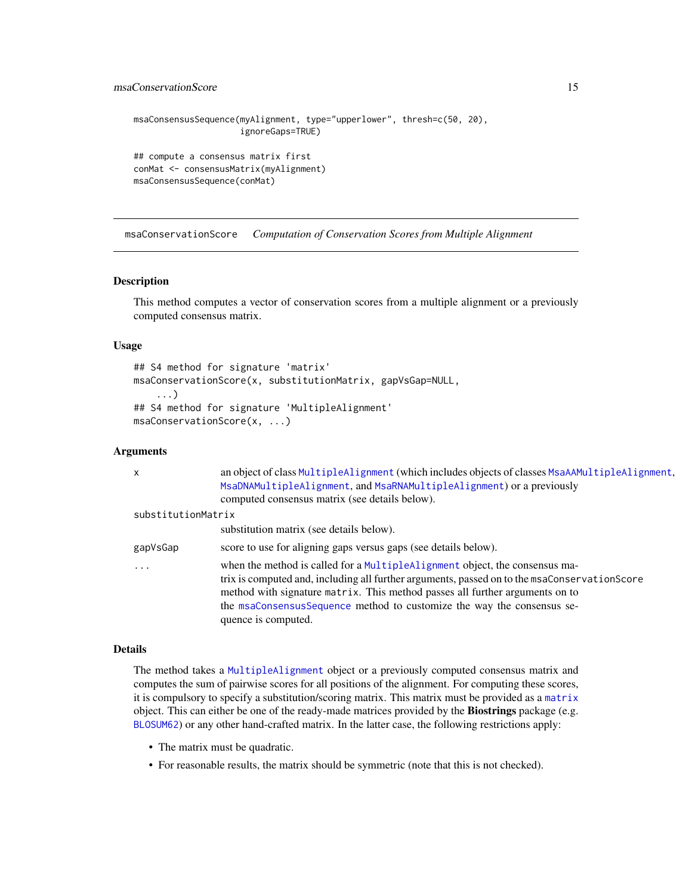```
msaConsensusSequence(myAlignment, type="upperlower", thresh=c(50, 20),
                     ignoreGaps=TRUE)
## compute a consensus matrix first
conMat <- consensusMatrix(myAlignment)
msaConsensusSequence(conMat)
```
msaConservationScore *Computation of Conservation Scores from Multiple Alignment*

# Description

This method computes a vector of conservation scores from a multiple alignment or a previously computed consensus matrix.

#### Usage

```
## S4 method for signature 'matrix'
msaConservationScore(x, substitutionMatrix, gapVsGap=NULL,
    ...)
## S4 method for signature 'MultipleAlignment'
msaConservationScore(x, ...)
```
#### Arguments

| $\times$           | an object of class MultipleAlignment (which includes objects of classes MsaAAMultipleAlignment,<br>MsaDNAMultipleAlignment, and MsaRNAMultipleAlignment) or a previously<br>computed consensus matrix (see details below).                                                                                                                                   |
|--------------------|--------------------------------------------------------------------------------------------------------------------------------------------------------------------------------------------------------------------------------------------------------------------------------------------------------------------------------------------------------------|
| substitutionMatrix |                                                                                                                                                                                                                                                                                                                                                              |
|                    | substitution matrix (see details below).                                                                                                                                                                                                                                                                                                                     |
| gapVsGap           | score to use for aligning gaps versus gaps (see details below).                                                                                                                                                                                                                                                                                              |
| $\cdots$           | when the method is called for a MultipleAlignment object, the consensus ma-<br>trix is computed and, including all further arguments, passed on to the msaConservationScore<br>method with signature matrix. This method passes all further arguments on to<br>the msaConsensusSequence method to customize the way the consensus se-<br>quence is computed. |

#### Details

The method takes a [MultipleAlignment](#page-0-0) object or a previously computed consensus matrix and computes the sum of pairwise scores for all positions of the alignment. For computing these scores, it is compulsory to specify a substitution/scoring matrix. This matrix must be provided as a [matrix](#page-0-0) object. This can either be one of the ready-made matrices provided by the **Biostrings** package (e.g. [BLOSUM62](#page-0-0)) or any other hand-crafted matrix. In the latter case, the following restrictions apply:

- The matrix must be quadratic.
- For reasonable results, the matrix should be symmetric (note that this is not checked).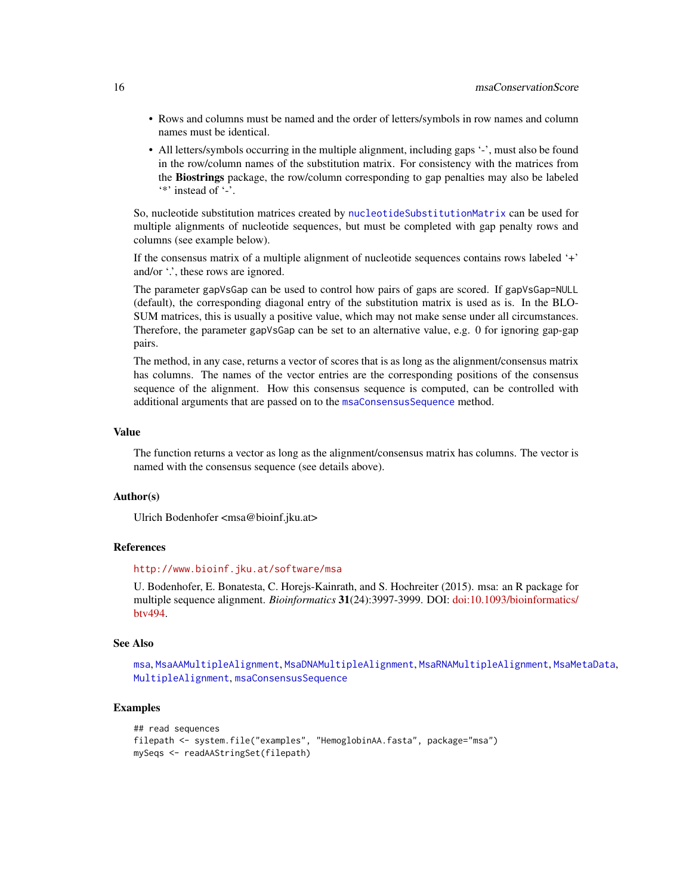- <span id="page-15-0"></span>• Rows and columns must be named and the order of letters/symbols in row names and column names must be identical.
- All letters/symbols occurring in the multiple alignment, including gaps '-', must also be found in the row/column names of the substitution matrix. For consistency with the matrices from the Biostrings package, the row/column corresponding to gap penalties may also be labeled '\*' instead of '-'.

So, nucleotide substitution matrices created by [nucleotideSubstitutionMatrix](#page-0-0) can be used for multiple alignments of nucleotide sequences, but must be completed with gap penalty rows and columns (see example below).

If the consensus matrix of a multiple alignment of nucleotide sequences contains rows labeled '+' and/or  $\cdot$ , these rows are ignored.

The parameter gapVsGap can be used to control how pairs of gaps are scored. If gapVsGap=NULL (default), the corresponding diagonal entry of the substitution matrix is used as is. In the BLO-SUM matrices, this is usually a positive value, which may not make sense under all circumstances. Therefore, the parameter gapVsGap can be set to an alternative value, e.g. 0 for ignoring gap-gap pairs.

The method, in any case, returns a vector of scores that is as long as the alignment/consensus matrix has columns. The names of the vector entries are the corresponding positions of the consensus sequence of the alignment. How this consensus sequence is computed, can be controlled with additional arguments that are passed on to the [msaConsensusSequence](#page-12-1) method.

#### Value

The function returns a vector as long as the alignment/consensus matrix has columns. The vector is named with the consensus sequence (see details above).

#### Author(s)

Ulrich Bodenhofer <msa@bioinf.jku.at>

#### **References**

#### <http://www.bioinf.jku.at/software/msa>

U. Bodenhofer, E. Bonatesta, C. Horejs-Kainrath, and S. Hochreiter (2015). msa: an R package for multiple sequence alignment. *Bioinformatics* 31(24):3997-3999. DOI: [doi:10.1093/bioinformatics/](https://doi.org/10.1093/bioinformatics/btv494) [btv494.](https://doi.org/10.1093/bioinformatics/btv494)

#### See Also

[msa](#page-3-1), [MsaAAMultipleAlignment](#page-19-1), [MsaDNAMultipleAlignment](#page-19-1), [MsaRNAMultipleAlignment](#page-19-1), [MsaMetaData](#page-18-1), [MultipleAlignment](#page-0-0), [msaConsensusSequence](#page-12-1)

#### Examples

```
## read sequences
filepath <- system.file("examples", "HemoglobinAA.fasta", package="msa")
mySeqs <- readAAStringSet(filepath)
```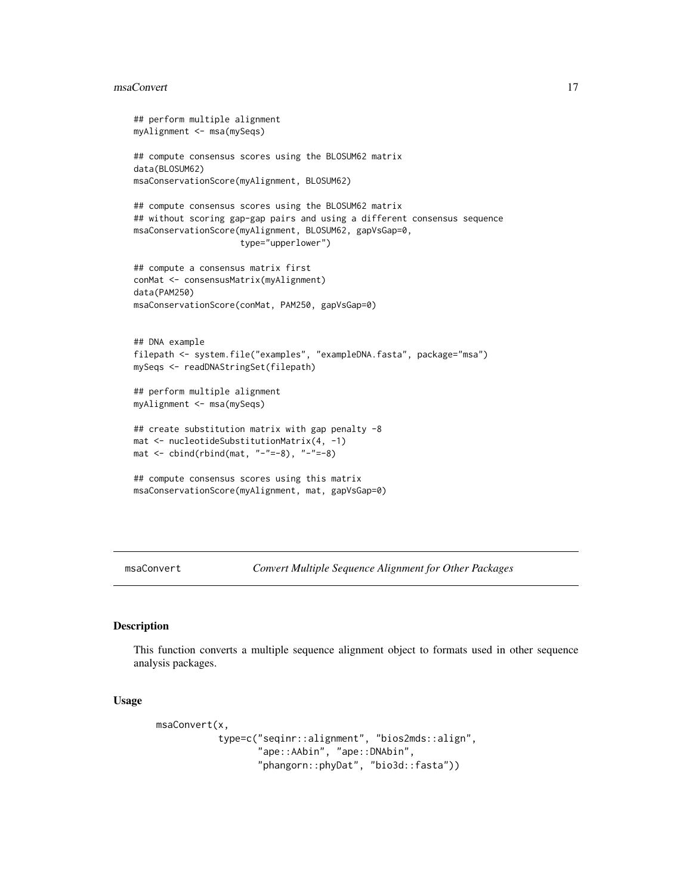#### <span id="page-16-0"></span>msaConvert 2008 and 2008 and 2008 and 2008 and 2008 and 2008 and 2008 and 2008 and 2008 and 2008 and 2008 and 2008 and 2008 and 2008 and 2008 and 2008 and 2008 and 2008 and 2008 and 2008 and 2008 and 2008 and 2008 and 2008

```
## perform multiple alignment
myAlignment <- msa(mySeqs)
## compute consensus scores using the BLOSUM62 matrix
data(BLOSUM62)
msaConservationScore(myAlignment, BLOSUM62)
## compute consensus scores using the BLOSUM62 matrix
## without scoring gap-gap pairs and using a different consensus sequence
msaConservationScore(myAlignment, BLOSUM62, gapVsGap=0,
                     type="upperlower")
## compute a consensus matrix first
conMat <- consensusMatrix(myAlignment)
data(PAM250)
msaConservationScore(conMat, PAM250, gapVsGap=0)
## DNA example
filepath <- system.file("examples", "exampleDNA.fasta", package="msa")
mySeqs <- readDNAStringSet(filepath)
## perform multiple alignment
myAlignment <- msa(mySeqs)
## create substitution matrix with gap penalty -8
mat <- nucleotideSubstitutionMatrix(4, -1)
mat <- cbind(rbind(mat, "-"=-8), "-"=-8)
## compute consensus scores using this matrix
msaConservationScore(myAlignment, mat, gapVsGap=0)
```
msaConvert *Convert Multiple Sequence Alignment for Other Packages*

#### Description

This function converts a multiple sequence alignment object to formats used in other sequence analysis packages.

#### Usage

```
msaConvert(x,
           type=c("seqinr::alignment", "bios2mds::align",
                  "ape::AAbin", "ape::DNAbin",
                  "phangorn::phyDat", "bio3d::fasta"))
```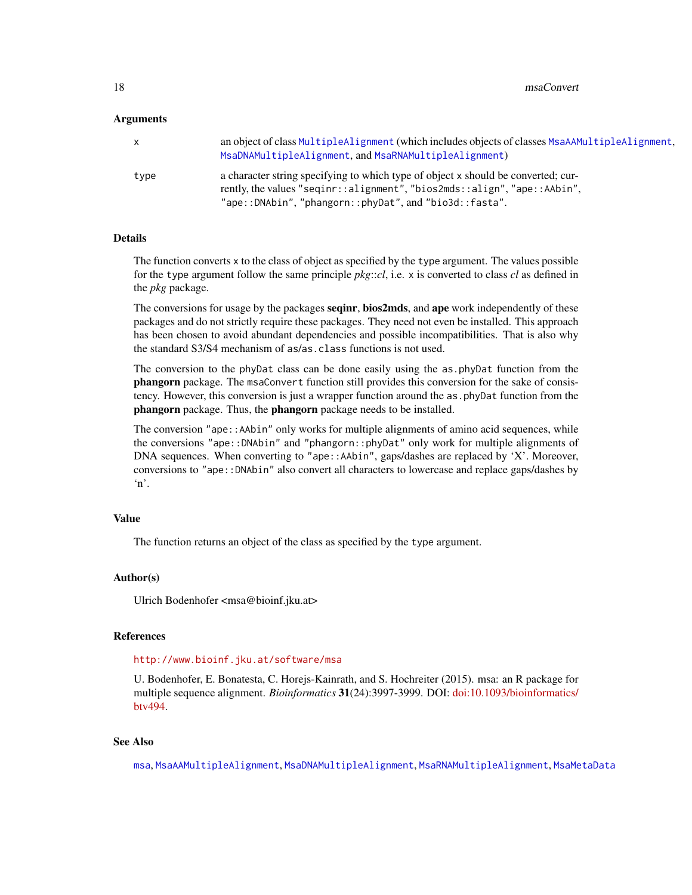#### <span id="page-17-0"></span>Arguments

| $\mathsf{X}$ | an object of class MultipleAlignment (which includes objects of classes MsaAAMultipleAlignment,<br>MsaDNAMultipleAlignment, and MsaRNAMultipleAlignment)      |
|--------------|---------------------------------------------------------------------------------------------------------------------------------------------------------------|
| type         | a character string specifying to which type of object x should be converted; cur-<br>rently, the values "seqinr::alignment", "bios2mds::align", "ape::AAbin", |
|              | "ape::DNAbin", "phangorn::phyDat", and "bio3d::fasta".                                                                                                        |

#### Details

The function converts x to the class of object as specified by the type argument. The values possible for the type argument follow the same principle *pkg*::*cl*, i.e. x is converted to class *cl* as defined in the *pkg* package.

The conversions for usage by the packages **seqinr**, **bios2mds**, and **ape** work independently of these packages and do not strictly require these packages. They need not even be installed. This approach has been chosen to avoid abundant dependencies and possible incompatibilities. That is also why the standard S3/S4 mechanism of as/as.class functions is not used.

The conversion to the phyDat class can be done easily using the as.phyDat function from the phangorn package. The msaConvert function still provides this conversion for the sake of consistency. However, this conversion is just a wrapper function around the as.phyDat function from the phangorn package. Thus, the phangorn package needs to be installed.

The conversion "ape::AAbin" only works for multiple alignments of amino acid sequences, while the conversions "ape::DNAbin" and "phangorn::phyDat" only work for multiple alignments of DNA sequences. When converting to "ape::AAbin", gaps/dashes are replaced by 'X'. Moreover, conversions to "ape::DNAbin" also convert all characters to lowercase and replace gaps/dashes by 'n'.

## Value

The function returns an object of the class as specified by the type argument.

#### Author(s)

Ulrich Bodenhofer <msa@bioinf.jku.at>

#### References

#### <http://www.bioinf.jku.at/software/msa>

U. Bodenhofer, E. Bonatesta, C. Horejs-Kainrath, and S. Hochreiter (2015). msa: an R package for multiple sequence alignment. *Bioinformatics* 31(24):3997-3999. DOI: [doi:10.1093/bioinformatics/](https://doi.org/10.1093/bioinformatics/btv494) [btv494.](https://doi.org/10.1093/bioinformatics/btv494)

# See Also

[msa](#page-3-1), [MsaAAMultipleAlignment](#page-19-1), [MsaDNAMultipleAlignment](#page-19-1), [MsaRNAMultipleAlignment](#page-19-1), [MsaMetaData](#page-18-1)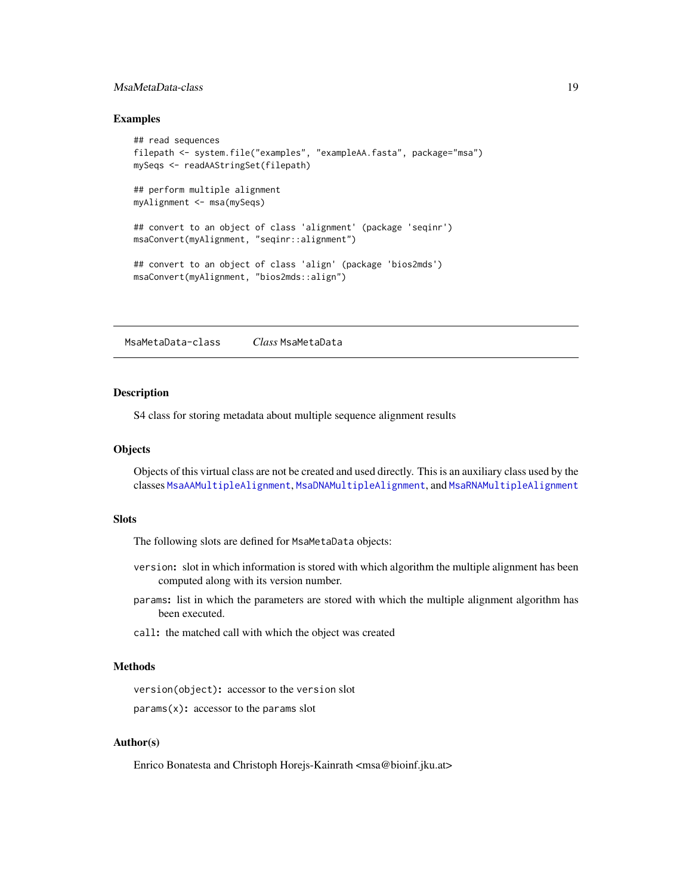# <span id="page-18-0"></span>MsaMetaData-class 19

#### Examples

```
## read sequences
filepath <- system.file("examples", "exampleAA.fasta", package="msa")
mySeqs <- readAAStringSet(filepath)
## perform multiple alignment
myAlignment <- msa(mySeqs)
## convert to an object of class 'alignment' (package 'seqinr')
msaConvert(myAlignment, "seqinr::alignment")
## convert to an object of class 'align' (package 'bios2mds')
msaConvert(myAlignment, "bios2mds::align")
```
<span id="page-18-1"></span>MsaMetaData-class *Class* MsaMetaData

#### **Description**

S4 class for storing metadata about multiple sequence alignment results

#### **Objects**

Objects of this virtual class are not be created and used directly. This is an auxiliary class used by the classes [MsaAAMultipleAlignment](#page-19-1), [MsaDNAMultipleAlignment](#page-19-1), and [MsaRNAMultipleAlignment](#page-19-1)

#### **Slots**

The following slots are defined for MsaMetaData objects:

- version: slot in which information is stored with which algorithm the multiple alignment has been computed along with its version number.
- params: list in which the parameters are stored with which the multiple alignment algorithm has been executed.
- call: the matched call with which the object was created

# Methods

version(object): accessor to the version slot

 $params(x):$  accessor to the params slot

## Author(s)

Enrico Bonatesta and Christoph Horejs-Kainrath <msa@bioinf.jku.at>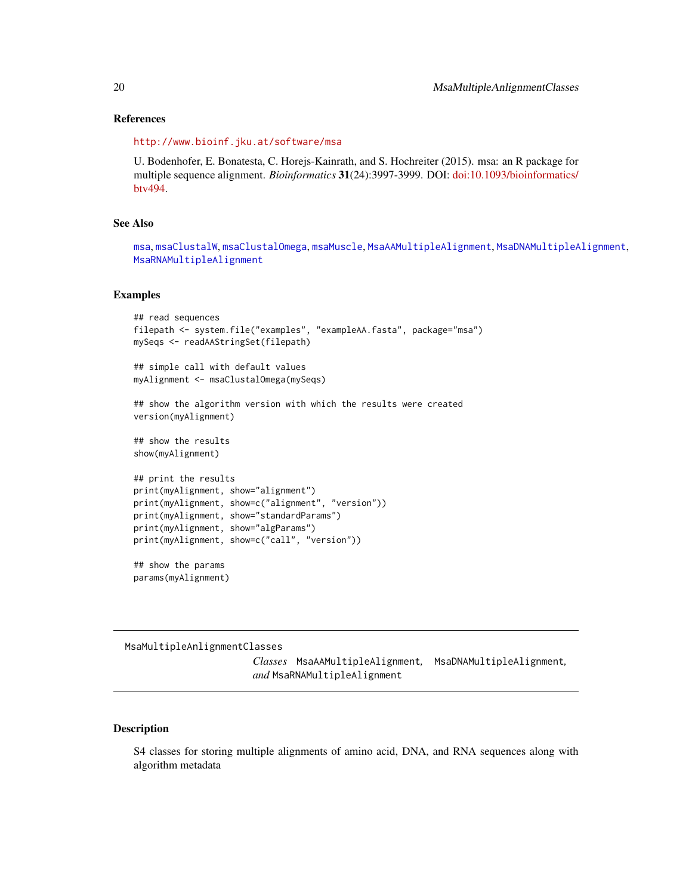#### <span id="page-19-0"></span>References

<http://www.bioinf.jku.at/software/msa>

U. Bodenhofer, E. Bonatesta, C. Horejs-Kainrath, and S. Hochreiter (2015). msa: an R package for multiple sequence alignment. *Bioinformatics* 31(24):3997-3999. DOI: [doi:10.1093/bioinformatics/](https://doi.org/10.1093/bioinformatics/btv494) [btv494.](https://doi.org/10.1093/bioinformatics/btv494)

# See Also

```
msa, msaClustalW, msaClustalOmega, msaMuscle, MsaAAMultipleAlignment, MsaDNAMultipleAlignment,
MsaRNAMultipleAlignment
```
#### Examples

```
## read sequences
filepath <- system.file("examples", "exampleAA.fasta", package="msa")
mySeqs <- readAAStringSet(filepath)
## simple call with default values
myAlignment <- msaClustalOmega(mySeqs)
## show the algorithm version with which the results were created
version(myAlignment)
## show the results
show(myAlignment)
## print the results
print(myAlignment, show="alignment")
print(myAlignment, show=c("alignment", "version"))
print(myAlignment, show="standardParams")
print(myAlignment, show="algParams")
print(myAlignment, show=c("call", "version"))
## show the params
params(myAlignment)
```
MsaMultipleAnlignmentClasses

*Classes* MsaAAMultipleAlignment*,* MsaDNAMultipleAlignment*, and* MsaRNAMultipleAlignment

### <span id="page-19-1"></span>Description

S4 classes for storing multiple alignments of amino acid, DNA, and RNA sequences along with algorithm metadata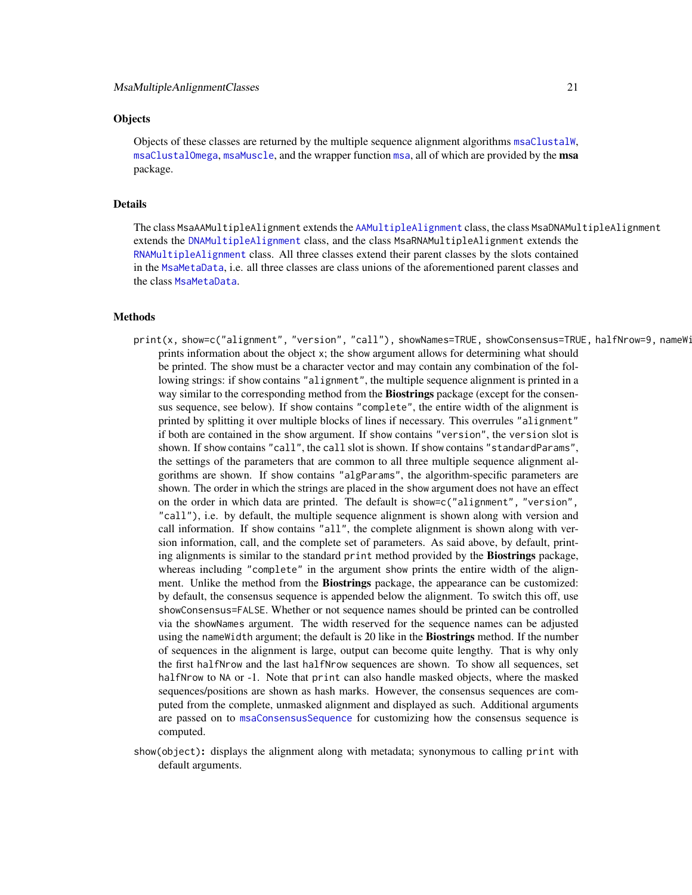### <span id="page-20-0"></span>**Objects**

Objects of these classes are returned by the multiple sequence alignment algorithms [msaClustalW](#page-9-1), [msaClustalOmega](#page-7-1), [msaMuscle](#page-22-1), and the wrapper function [msa](#page-3-1), all of which are provided by the msa package.

# Details

The class MsaAAMultipleAlignment extends the [AAMultipleAlignment](#page-0-0) class, the class MsaDNAMultipleAlignment extends the [DNAMultipleAlignment](#page-0-0) class, and the class MsaRNAMultipleAlignment extends the [RNAMultipleAlignment](#page-0-0) class. All three classes extend their parent classes by the slots contained in the [MsaMetaData](#page-18-1), i.e. all three classes are class unions of the aforementioned parent classes and the class [MsaMetaData](#page-18-1).

# Methods

- print(x, show=c("alignment", "version", "call"), showNames=TRUE, showConsensus=TRUE, halfNrow=9, nameWi prints information about the object x; the show argument allows for determining what should be printed. The show must be a character vector and may contain any combination of the following strings: if show contains "alignment", the multiple sequence alignment is printed in a way similar to the corresponding method from the **Biostrings** package (except for the consensus sequence, see below). If show contains "complete", the entire width of the alignment is printed by splitting it over multiple blocks of lines if necessary. This overrules "alignment" if both are contained in the show argument. If show contains "version", the version slot is shown. If show contains "call", the call slot is shown. If show contains "standardParams", the settings of the parameters that are common to all three multiple sequence alignment algorithms are shown. If show contains "algParams", the algorithm-specific parameters are shown. The order in which the strings are placed in the show argument does not have an effect on the order in which data are printed. The default is show=c("alignment", "version", "call"), i.e. by default, the multiple sequence alignment is shown along with version and call information. If show contains "all", the complete alignment is shown along with version information, call, and the complete set of parameters. As said above, by default, printing alignments is similar to the standard print method provided by the **Biostrings** package, whereas including "complete" in the argument show prints the entire width of the alignment. Unlike the method from the Biostrings package, the appearance can be customized: by default, the consensus sequence is appended below the alignment. To switch this off, use showConsensus=FALSE. Whether or not sequence names should be printed can be controlled via the showNames argument. The width reserved for the sequence names can be adjusted using the nameWidth argument; the default is 20 like in the **Biostrings** method. If the number of sequences in the alignment is large, output can become quite lengthy. That is why only the first halfNrow and the last halfNrow sequences are shown. To show all sequences, set halfNrow to NA or -1. Note that print can also handle masked objects, where the masked sequences/positions are shown as hash marks. However, the consensus sequences are computed from the complete, unmasked alignment and displayed as such. Additional arguments are passed on to [msaConsensusSequence](#page-12-1) for customizing how the consensus sequence is computed.
- show(object): displays the alignment along with metadata; synonymous to calling print with default arguments.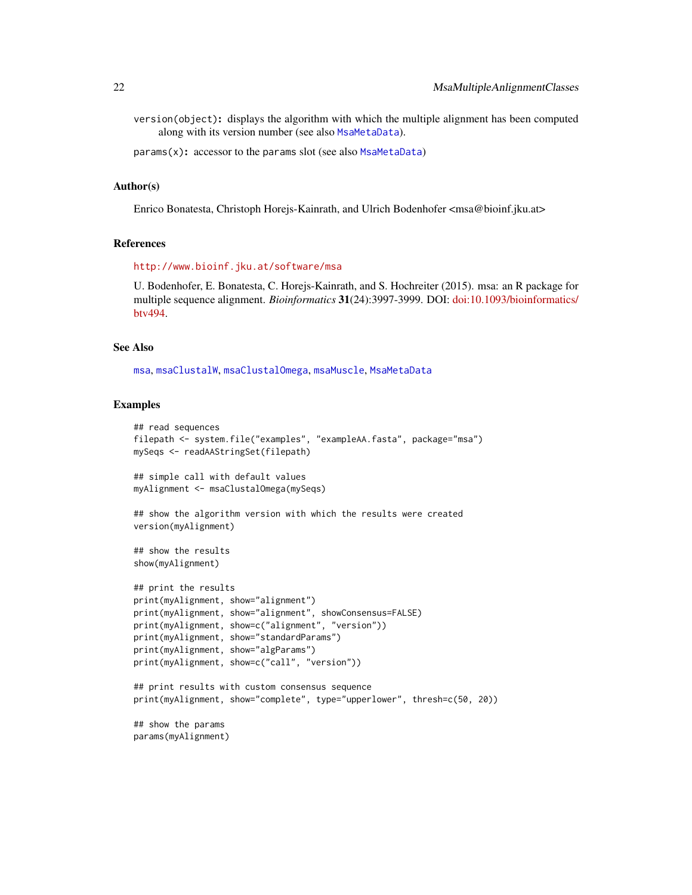<span id="page-21-0"></span>version(object): displays the algorithm with which the multiple alignment has been computed along with its version number (see also [MsaMetaData](#page-18-1)).

params(x): accessor to the params slot (see also [MsaMetaData](#page-18-1))

#### Author(s)

Enrico Bonatesta, Christoph Horejs-Kainrath, and Ulrich Bodenhofer <msa@bioinf.jku.at>

#### References

<http://www.bioinf.jku.at/software/msa>

U. Bodenhofer, E. Bonatesta, C. Horejs-Kainrath, and S. Hochreiter (2015). msa: an R package for multiple sequence alignment. *Bioinformatics* 31(24):3997-3999. DOI: [doi:10.1093/bioinformatics/](https://doi.org/10.1093/bioinformatics/btv494) [btv494.](https://doi.org/10.1093/bioinformatics/btv494)

#### See Also

[msa](#page-3-1), [msaClustalW](#page-9-1), [msaClustalOmega](#page-7-1), [msaMuscle](#page-22-1), [MsaMetaData](#page-18-1)

#### Examples

```
## read sequences
filepath <- system.file("examples", "exampleAA.fasta", package="msa")
mySeqs <- readAAStringSet(filepath)
## simple call with default values
myAlignment <- msaClustalOmega(mySeqs)
## show the algorithm version with which the results were created
version(myAlignment)
## show the results
show(myAlignment)
## print the results
print(myAlignment, show="alignment")
print(myAlignment, show="alignment", showConsensus=FALSE)
print(myAlignment, show=c("alignment", "version"))
print(myAlignment, show="standardParams")
print(myAlignment, show="algParams")
print(myAlignment, show=c("call", "version"))
## print results with custom consensus sequence
print(myAlignment, show="complete", type="upperlower", thresh=c(50, 20))
## show the params
params(myAlignment)
```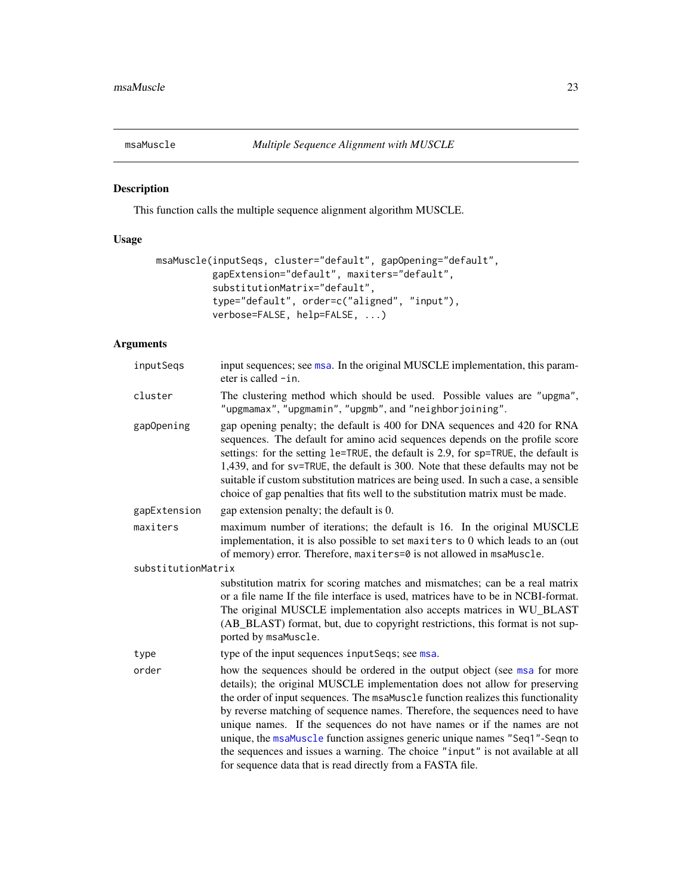<span id="page-22-1"></span><span id="page-22-0"></span>

# Description

This function calls the multiple sequence alignment algorithm MUSCLE.

# Usage

```
msaMuscle(inputSeqs, cluster="default", gapOpening="default",
          gapExtension="default", maxiters="default",
          substitutionMatrix="default",
          type="default", order=c("aligned", "input"),
          verbose=FALSE, help=FALSE, ...)
```
# Arguments

| The clustering method which should be used. Possible values are "upgma",<br>"upgmamax", "upgmamin", "upgmb", and "neighborjoining".                                                                                                                                                                                                                                                                                                                                                                                                                                                                                                     |
|-----------------------------------------------------------------------------------------------------------------------------------------------------------------------------------------------------------------------------------------------------------------------------------------------------------------------------------------------------------------------------------------------------------------------------------------------------------------------------------------------------------------------------------------------------------------------------------------------------------------------------------------|
| gap opening penalty; the default is 400 for DNA sequences and 420 for RNA<br>sequences. The default for amino acid sequences depends on the profile score<br>settings: for the setting le=TRUE, the default is 2.9, for sp=TRUE, the default is<br>1,439, and for sv=TRUE, the default is 300. Note that these defaults may not be<br>suitable if custom substitution matrices are being used. In such a case, a sensible<br>choice of gap penalties that fits well to the substitution matrix must be made.                                                                                                                            |
| gap extension penalty; the default is 0.                                                                                                                                                                                                                                                                                                                                                                                                                                                                                                                                                                                                |
| maximum number of iterations; the default is 16. In the original MUSCLE<br>implementation, it is also possible to set maxiters to 0 which leads to an (out<br>of memory) error. Therefore, maxiters=0 is not allowed in msaMuscle.                                                                                                                                                                                                                                                                                                                                                                                                      |
|                                                                                                                                                                                                                                                                                                                                                                                                                                                                                                                                                                                                                                         |
| substitution matrix for scoring matches and mismatches; can be a real matrix<br>or a file name If the file interface is used, matrices have to be in NCBI-format.<br>The original MUSCLE implementation also accepts matrices in WU_BLAST<br>(AB_BLAST) format, but, due to copyright restrictions, this format is not sup-<br>ported by msaMuscle.                                                                                                                                                                                                                                                                                     |
| type of the input sequences input Seqs; see msa.                                                                                                                                                                                                                                                                                                                                                                                                                                                                                                                                                                                        |
| how the sequences should be ordered in the output object (see msa for more<br>details); the original MUSCLE implementation does not allow for preserving<br>the order of input sequences. The msaMuscle function realizes this functionality<br>by reverse matching of sequence names. Therefore, the sequences need to have<br>unique names. If the sequences do not have names or if the names are not<br>unique, the msaMuscle function assignes generic unique names "Seq1"-Seqn to<br>the sequences and issues a warning. The choice "input" is not available at all<br>for sequence data that is read directly from a FASTA file. |
|                                                                                                                                                                                                                                                                                                                                                                                                                                                                                                                                                                                                                                         |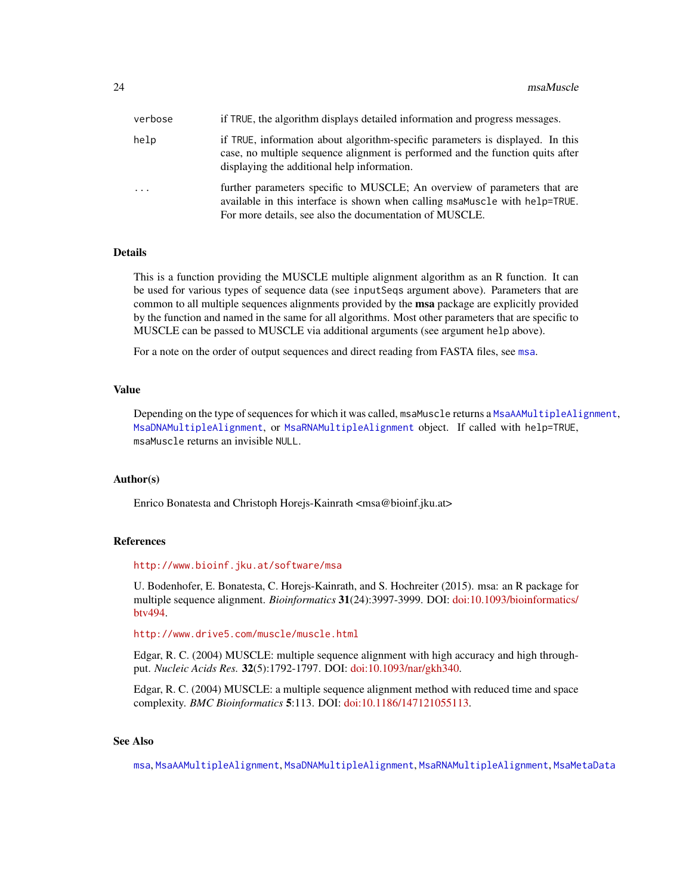<span id="page-23-0"></span>

| verbose | if TRUE, the algorithm displays detailed information and progress messages.                                                                                                                                         |
|---------|---------------------------------------------------------------------------------------------------------------------------------------------------------------------------------------------------------------------|
| help    | if TRUE, information about algorithm-specific parameters is displayed. In this<br>case, no multiple sequence alignment is performed and the function quits after<br>displaying the additional help information.     |
| $\cdot$ | further parameters specific to MUSCLE; An overview of parameters that are<br>available in this interface is shown when calling msaMuscle with help=TRUE.<br>For more details, see also the documentation of MUSCLE. |

#### Details

This is a function providing the MUSCLE multiple alignment algorithm as an R function. It can be used for various types of sequence data (see inputSeqs argument above). Parameters that are common to all multiple sequences alignments provided by the **msa** package are explicitly provided by the function and named in the same for all algorithms. Most other parameters that are specific to MUSCLE can be passed to MUSCLE via additional arguments (see argument help above).

For a note on the order of output sequences and direct reading from FASTA files, see [msa](#page-3-1).

# Value

Depending on the type of sequences for which it was called, msaMuscle returns a [MsaAAMultipleAlignment](#page-19-1), [MsaDNAMultipleAlignment](#page-19-1), or [MsaRNAMultipleAlignment](#page-19-1) object. If called with help=TRUE, msaMuscle returns an invisible NULL.

#### Author(s)

Enrico Bonatesta and Christoph Horejs-Kainrath <msa@bioinf.jku.at>

#### References

#### <http://www.bioinf.jku.at/software/msa>

U. Bodenhofer, E. Bonatesta, C. Horejs-Kainrath, and S. Hochreiter (2015). msa: an R package for multiple sequence alignment. *Bioinformatics* 31(24):3997-3999. DOI: [doi:10.1093/bioinformatics/](https://doi.org/10.1093/bioinformatics/btv494) [btv494.](https://doi.org/10.1093/bioinformatics/btv494)

<http://www.drive5.com/muscle/muscle.html>

Edgar, R. C. (2004) MUSCLE: multiple sequence alignment with high accuracy and high throughput. *Nucleic Acids Res.* 32(5):1792-1797. DOI: [doi:10.1093/nar/gkh340.](https://doi.org/10.1093/nar/gkh340)

Edgar, R. C. (2004) MUSCLE: a multiple sequence alignment method with reduced time and space complexity. *BMC Bioinformatics* 5:113. DOI: [doi:10.1186/147121055113.](https://doi.org/10.1186/1471-2105-5-113)

# See Also

[msa](#page-3-1), [MsaAAMultipleAlignment](#page-19-1), [MsaDNAMultipleAlignment](#page-19-1), [MsaRNAMultipleAlignment](#page-19-1), [MsaMetaData](#page-18-1)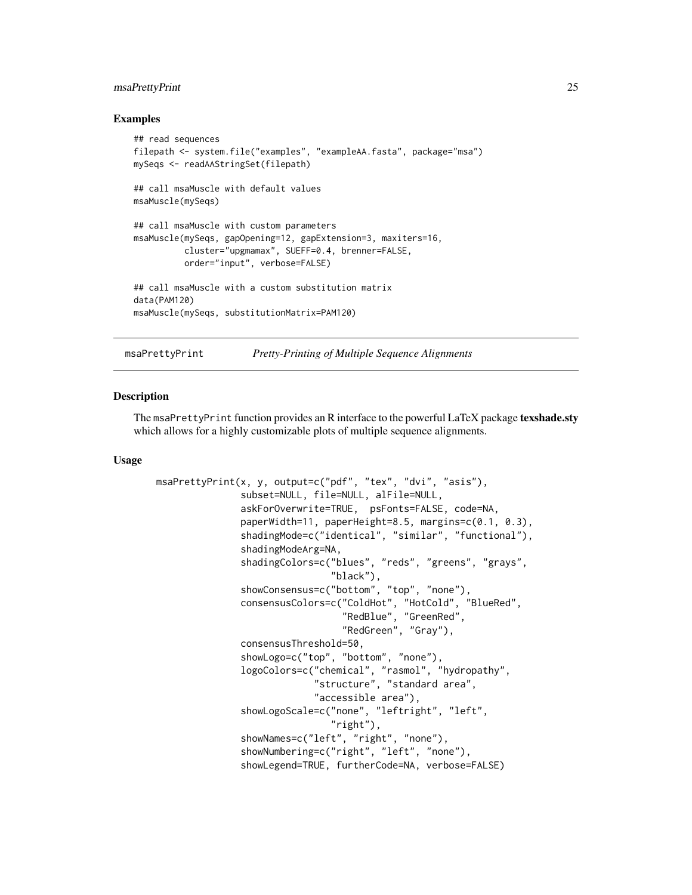### <span id="page-24-0"></span>msaPrettyPrint 25

#### Examples

```
## read sequences
filepath <- system.file("examples", "exampleAA.fasta", package="msa")
mySeqs <- readAAStringSet(filepath)
## call msaMuscle with default values
msaMuscle(mySeqs)
## call msaMuscle with custom parameters
msaMuscle(mySeqs, gapOpening=12, gapExtension=3, maxiters=16,
          cluster="upgmamax", SUEFF=0.4, brenner=FALSE,
          order="input", verbose=FALSE)
## call msaMuscle with a custom substitution matrix
data(PAM120)
msaMuscle(mySeqs, substitutionMatrix=PAM120)
```
<span id="page-24-1"></span>

msaPrettyPrint *Pretty-Printing of Multiple Sequence Alignments*

#### Description

The msaPrettyPrint function provides an R interface to the powerful LaTeX package texshade.sty which allows for a highly customizable plots of multiple sequence alignments.

#### Usage

```
msaPrettyPrint(x, y, output=c("pdf", "tex", "dvi", "asis"),
               subset=NULL, file=NULL, alFile=NULL,
               askForOverwrite=TRUE, psFonts=FALSE, code=NA,
               paperWidth=11, paperHeight=8.5, margins=c(0.1, 0.3),
               shadingMode=c("identical", "similar", "functional"),
               shadingModeArg=NA,
               shadingColors=c("blues", "reds", "greens", "grays",
                               "black"),
               showConsensus=c("bottom", "top", "none"),
               consensusColors=c("ColdHot", "HotCold", "BlueRed",
                                  "RedBlue", "GreenRed",
                                 "RedGreen", "Gray"),
               consensusThreshold=50,
               showLogo=c("top", "bottom", "none"),
               logoColors=c("chemical", "rasmol", "hydropathy",
                            "structure", "standard area",
                            "accessible area"),
               showLogoScale=c("none", "leftright", "left",
                               "right"),
               showNames=c("left", "right", "none"),
               showNumbering=c("right", "left", "none"),
               showLegend=TRUE, furtherCode=NA, verbose=FALSE)
```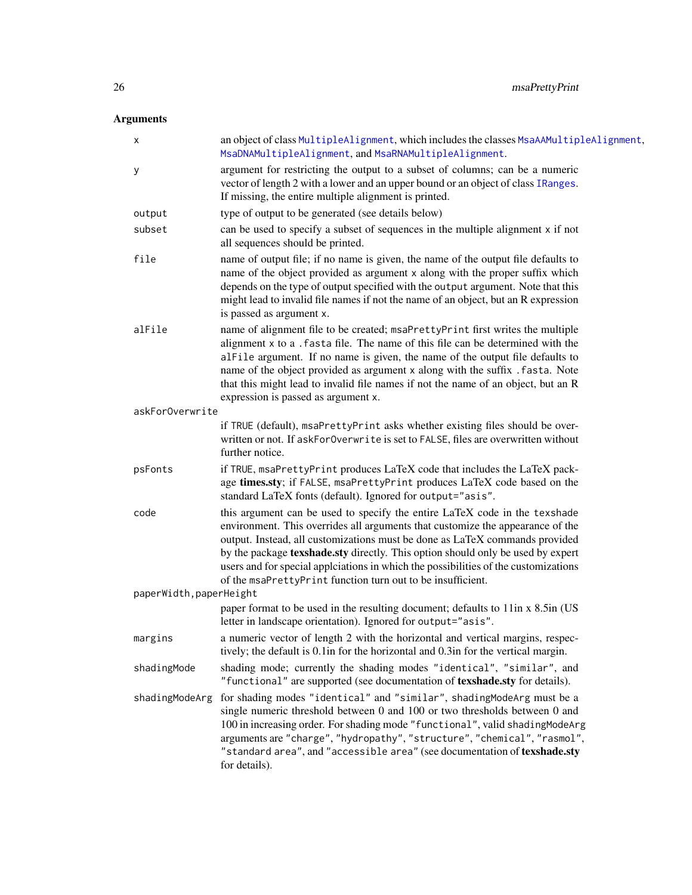# <span id="page-25-0"></span>Arguments

x an object of class [MultipleAlignment](#page-0-0), which includes the classes [MsaAAMultipleAlignment](#page-19-1), [MsaDNAMultipleAlignment](#page-19-1), and [MsaRNAMultipleAlignment](#page-19-1). y argument for restricting the output to a subset of columns; can be a numeric vector of length 2 with a lower and an upper bound or an object of class [IRanges](#page-0-0). If missing, the entire multiple alignment is printed. output type of output to be generated (see details below) subset can be used to specify a subset of sequences in the multiple alignment x if not all sequences should be printed. file name of output file; if no name is given, the name of the output file defaults to name of the object provided as argument x along with the proper suffix which depends on the type of output specified with the output argument. Note that this might lead to invalid file names if not the name of an object, but an R expression is passed as argument x. alFile name of alignment file to be created; msaPrettyPrint first writes the multiple alignment x to a .fasta file. The name of this file can be determined with the alFile argument. If no name is given, the name of the output file defaults to name of the object provided as argument x along with the suffix .fasta. Note that this might lead to invalid file names if not the name of an object, but an R expression is passed as argument x. askForOverwrite if TRUE (default), msaPrettyPrint asks whether existing files should be overwritten or not. If askForOverwrite is set to FALSE, files are overwritten without further notice. psFonts if TRUE, msaPrettyPrint produces LaTeX code that includes the LaTeX package times.sty; if FALSE, msaPrettyPrint produces LaTeX code based on the standard LaTeX fonts (default). Ignored for output="asis". code this argument can be used to specify the entire LaTeX code in the texshade environment. This overrides all arguments that customize the appearance of the output. Instead, all customizations must be done as LaTeX commands provided by the package texshade.sty directly. This option should only be used by expert users and for special applciations in which the possibilities of the customizations of the msaPrettyPrint function turn out to be insufficient. paperWidth,paperHeight paper format to be used in the resulting document; defaults to 11in x 8.5in (US letter in landscape orientation). Ignored for output="asis". margins a numeric vector of length 2 with the horizontal and vertical margins, respectively; the default is 0.1in for the horizontal and 0.3in for the vertical margin. shadingMode shading mode; currently the shading modes "identical", "similar", and "functional" are supported (see documentation of texshade.sty for details). shadingModeArg for shading modes "identical" and "similar", shadingModeArg must be a single numeric threshold between 0 and 100 or two thresholds between 0 and 100 in increasing order. For shading mode "functional", valid shadingModeArg arguments are "charge", "hydropathy", "structure", "chemical", "rasmol", "standard area", and "accessible area" (see documentation of texshade.sty for details).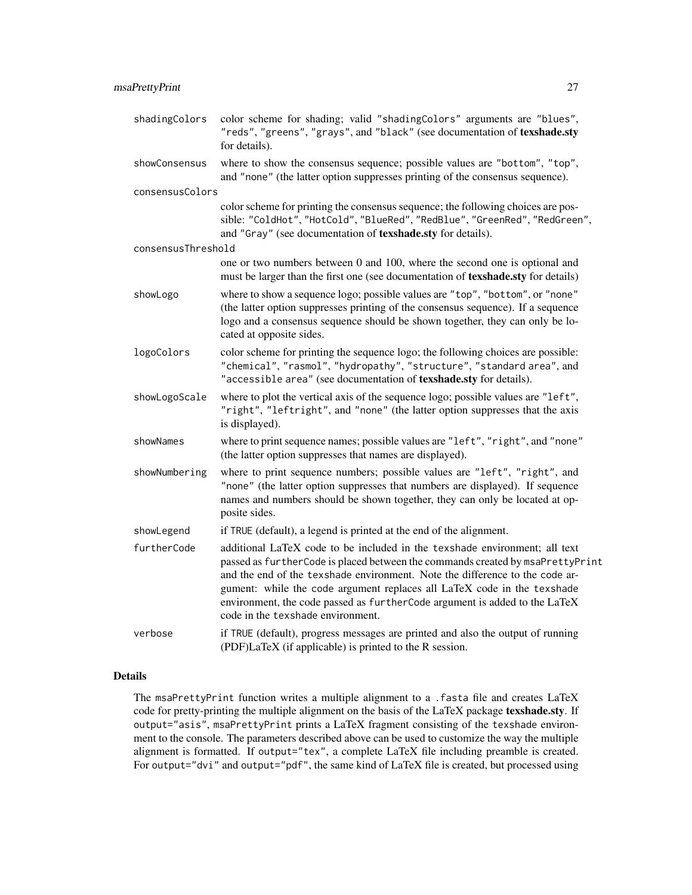| shadingColors      | color scheme for shading; valid "shadingColors" arguments are "blues",<br>"reds", "greens", "grays", and "black" (see documentation of texshade.sty<br>for details).                                                                                                                                                                                                                                                                       |
|--------------------|--------------------------------------------------------------------------------------------------------------------------------------------------------------------------------------------------------------------------------------------------------------------------------------------------------------------------------------------------------------------------------------------------------------------------------------------|
| showConsensus      | where to show the consensus sequence; possible values are "bottom", "top",<br>and "none" (the latter option suppresses printing of the consensus sequence).                                                                                                                                                                                                                                                                                |
| consensusColors    |                                                                                                                                                                                                                                                                                                                                                                                                                                            |
|                    | color scheme for printing the consensus sequence; the following choices are pos-<br>sible: "ColdHot", "HotCold", "BlueRed", "RedBlue", "GreenRed", "RedGreen",<br>and "Gray" (see documentation of texshade.sty for details).                                                                                                                                                                                                              |
| consensusThreshold |                                                                                                                                                                                                                                                                                                                                                                                                                                            |
|                    | one or two numbers between 0 and 100, where the second one is optional and<br>must be larger than the first one (see documentation of texshade.sty for details)                                                                                                                                                                                                                                                                            |
| showLogo           | where to show a sequence logo; possible values are "top", "bottom", or "none"<br>(the latter option suppresses printing of the consensus sequence). If a sequence<br>logo and a consensus sequence should be shown together, they can only be lo-<br>cated at opposite sides.                                                                                                                                                              |
| logoColors         | color scheme for printing the sequence logo; the following choices are possible:<br>"chemical", "rasmol", "hydropathy", "structure", "standard area", and<br>"accessible area" (see documentation of texshade.sty for details).                                                                                                                                                                                                            |
| showLogoScale      | where to plot the vertical axis of the sequence logo; possible values are "left",<br>"right", "leftright", and "none" (the latter option suppresses that the axis<br>is displayed).                                                                                                                                                                                                                                                        |
| showNames          | where to print sequence names; possible values are "left", "right", and "none"<br>(the latter option suppresses that names are displayed).                                                                                                                                                                                                                                                                                                 |
| showNumbering      | where to print sequence numbers; possible values are "left", "right", and<br>"none" (the latter option suppresses that numbers are displayed). If sequence<br>names and numbers should be shown together, they can only be located at op-<br>posite sides.                                                                                                                                                                                 |
| showLegend         | if TRUE (default), a legend is printed at the end of the alignment.                                                                                                                                                                                                                                                                                                                                                                        |
| furtherCode        | additional LaTeX code to be included in the texshade environment; all text<br>passed as furtherCode is placed between the commands created by msaPrettyPrint<br>and the end of the texshade environment. Note the difference to the code ar-<br>gument: while the code argument replaces all LaTeX code in the texshade<br>environment, the code passed as furtherCode argument is added to the LaTeX<br>code in the texshade environment. |
| verbose            | if TRUE (default), progress messages are printed and also the output of running<br>(PDF)LaTeX (if applicable) is printed to the R session.                                                                                                                                                                                                                                                                                                 |

# Details

The msaPrettyPrint function writes a multiple alignment to a .fasta file and creates LaTeX code for pretty-printing the multiple alignment on the basis of the LaTeX package texshade.sty. If output="asis", msaPrettyPrint prints a LaTeX fragment consisting of the texshade environment to the console. The parameters described above can be used to customize the way the multiple alignment is formatted. If output="tex", a complete LaTeX file including preamble is created. For output="dvi" and output="pdf", the same kind of LaTeX file is created, but processed using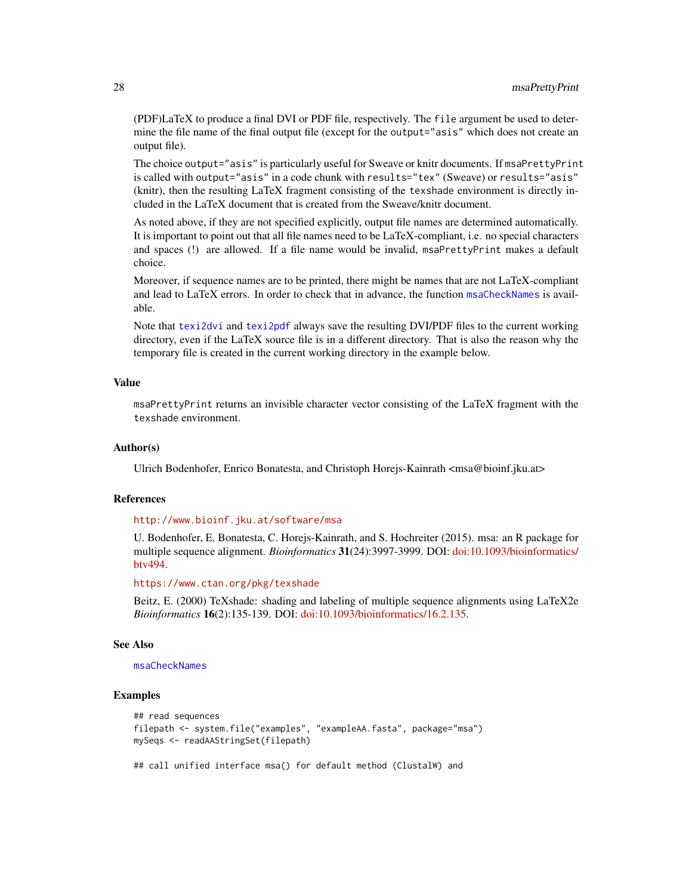(PDF)LaTeX to produce a final DVI or PDF file, respectively. The file argument be used to determine the file name of the final output file (except for the output="asis" which does not create an output file).

The choice output="asis" is particularly useful for Sweave or knitr documents. If msaPrettyPrint is called with output="asis" in a code chunk with results="tex" (Sweave) or results="asis" (knitr), then the resulting LaTeX fragment consisting of the texshade environment is directly included in the LaTeX document that is created from the Sweave/knitr document.

As noted above, if they are not specified explicitly, output file names are determined automatically. It is important to point out that all file names need to be LaTeX-compliant, i.e. no special characters and spaces (!) are allowed. If a file name would be invalid, msaPrettyPrint makes a default choice.

Moreover, if sequence names are to be printed, there might be names that are not LaTeX-compliant and lead to LaTeX errors. In order to check that in advance, the function [msaCheckNames](#page-6-1) is available.

Note that [texi2dvi](#page-0-0) and [texi2pdf](#page-0-0) always save the resulting DVI/PDF files to the current working directory, even if the LaTeX source file is in a different directory. That is also the reason why the temporary file is created in the current working directory in the example below.

#### Value

msaPrettyPrint returns an invisible character vector consisting of the LaTeX fragment with the texshade environment.

### Author(s)

Ulrich Bodenhofer, Enrico Bonatesta, and Christoph Horejs-Kainrath <msa@bioinf.jku.at>

#### References

#### <http://www.bioinf.jku.at/software/msa>

U. Bodenhofer, E. Bonatesta, C. Horejs-Kainrath, and S. Hochreiter (2015). msa: an R package for multiple sequence alignment. *Bioinformatics* 31(24):3997-3999. DOI: [doi:10.1093/bioinformatics/](https://doi.org/10.1093/bioinformatics/btv494) [btv494.](https://doi.org/10.1093/bioinformatics/btv494)

#### <https://www.ctan.org/pkg/texshade>

Beitz, E. (2000) TeXshade: shading and labeling of multiple sequence alignments using LaTeX2e *Bioinformatics* 16(2):135-139. DOI: [doi:10.1093/bioinformatics/16.2.135.](https://doi.org/10.1093/bioinformatics/16.2.135)

#### See Also

#### [msaCheckNames](#page-6-1)

# Examples

```
## read sequences
filepath <- system.file("examples", "exampleAA.fasta", package="msa")
mySeqs <- readAAStringSet(filepath)
## call unified interface msa() for default method (ClustalW) and
```
<span id="page-27-0"></span>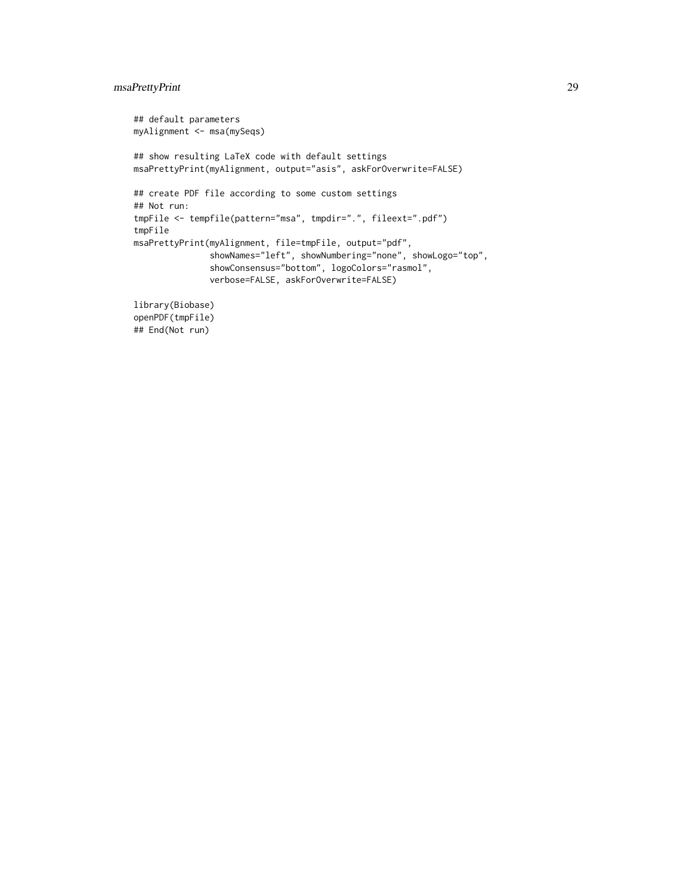# msaPrettyPrint 29

```
## default parameters
myAlignment <- msa(mySeqs)
## show resulting LaTeX code with default settings
msaPrettyPrint(myAlignment, output="asis", askForOverwrite=FALSE)
## create PDF file according to some custom settings
## Not run:
tmpFile <- tempfile(pattern="msa", tmpdir=".", fileext=".pdf")
tmpFile
msaPrettyPrint(myAlignment, file=tmpFile, output="pdf",
               showNames="left", showNumbering="none", showLogo="top",
               showConsensus="bottom", logoColors="rasmol",
               verbose=FALSE, askForOverwrite=FALSE)
```
library(Biobase) openPDF(tmpFile) ## End(Not run)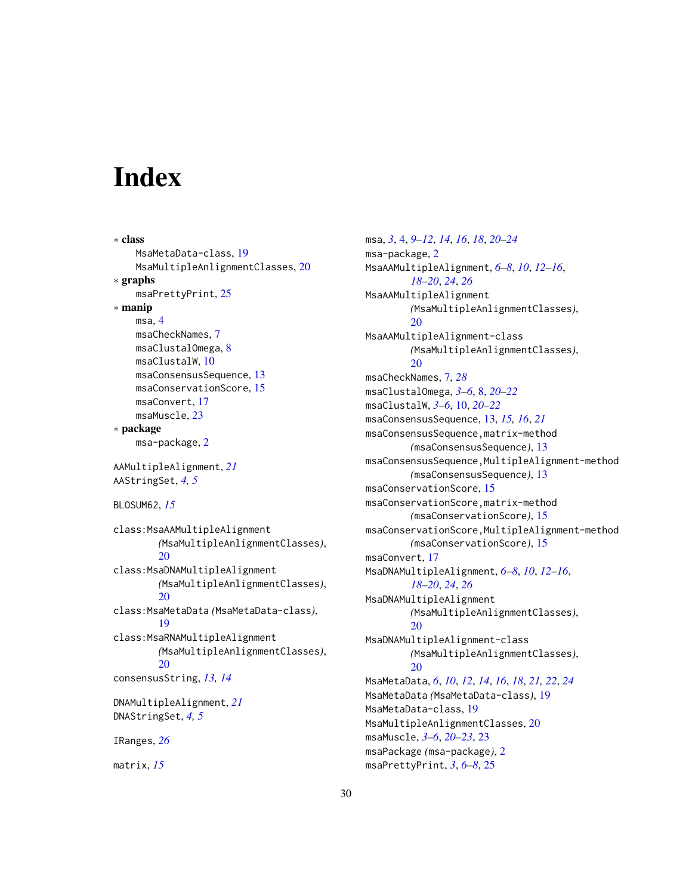# <span id="page-29-0"></span>**Index**

```
∗ class
    MsaMetaData-class, 19
    MsaMultipleAnlignmentClasses, 20
∗ graphs
    msaPrettyPrint, 25
∗ manip
    msa, 4
    msaCheckNames, 7
    msaClustalOmega, 8
    msaClustalW, 10
    msaConsensusSequence, 13
    msaConservationScore, 15
    msaConvert, 17
    msaMuscle, 23
∗ package
    msa-package, 2
AAMultipleAlignment, 21
AAStringSet, 4, 5
BLOSUM62, 15
class:MsaAAMultipleAlignment
        (MsaMultipleAnlignmentClasses),
        20
class:MsaDNAMultipleAlignment
        (MsaMultipleAnlignmentClasses),
        20
class:MsaMetaData (MsaMetaData-class),
        19
class:MsaRNAMultipleAlignment
        (MsaMultipleAnlignmentClasses),
        20
consensusString, 13, 14
DNAMultipleAlignment, 21
DNAStringSet, 4, 5
IRanges, 26
matrix, 15
```
msa, *[3](#page-2-0)*, [4,](#page-3-0) *[9](#page-8-0)[–12](#page-11-0)*, *[14](#page-13-0)*, *[16](#page-15-0)*, *[18](#page-17-0)*, *[20](#page-19-0)[–24](#page-23-0)* msa-package, [2](#page-1-0) MsaAAMultipleAlignment, *[6](#page-5-0)[–8](#page-7-0)*, *[10](#page-9-0)*, *[12](#page-11-0)[–16](#page-15-0)*, *[18](#page-17-0)[–20](#page-19-0)*, *[24](#page-23-0)*, *[26](#page-25-0)* MsaAAMultipleAlignment *(*MsaMultipleAnlignmentClasses*)*, [20](#page-19-0) MsaAAMultipleAlignment-class *(*MsaMultipleAnlignmentClasses*)*, [20](#page-19-0) msaCheckNames, [7,](#page-6-0) *[28](#page-27-0)* msaClustalOmega, *[3](#page-2-0)[–6](#page-5-0)*, [8,](#page-7-0) *[20](#page-19-0)[–22](#page-21-0)* msaClustalW, *[3](#page-2-0)[–6](#page-5-0)*, [10,](#page-9-0) *[20](#page-19-0)[–22](#page-21-0)* msaConsensusSequence, [13,](#page-12-0) *[15,](#page-14-0) [16](#page-15-0)*, *[21](#page-20-0)* msaConsensusSequence,matrix-method *(*msaConsensusSequence*)*, [13](#page-12-0) msaConsensusSequence,MultipleAlignment-method *(*msaConsensusSequence*)*, [13](#page-12-0) msaConservationScore, [15](#page-14-0) msaConservationScore,matrix-method *(*msaConservationScore*)*, [15](#page-14-0) msaConservationScore,MultipleAlignment-method *(*msaConservationScore*)*, [15](#page-14-0) msaConvert, [17](#page-16-0) MsaDNAMultipleAlignment, *[6](#page-5-0)[–8](#page-7-0)*, *[10](#page-9-0)*, *[12](#page-11-0)[–16](#page-15-0)*, *[18](#page-17-0)[–20](#page-19-0)*, *[24](#page-23-0)*, *[26](#page-25-0)* MsaDNAMultipleAlignment *(*MsaMultipleAnlignmentClasses*)*, [20](#page-19-0) MsaDNAMultipleAlignment-class *(*MsaMultipleAnlignmentClasses*)*,  $20$ MsaMetaData, *[6](#page-5-0)*, *[10](#page-9-0)*, *[12](#page-11-0)*, *[14](#page-13-0)*, *[16](#page-15-0)*, *[18](#page-17-0)*, *[21,](#page-20-0) [22](#page-21-0)*, *[24](#page-23-0)* MsaMetaData *(*MsaMetaData-class*)*, [19](#page-18-0) MsaMetaData-class, [19](#page-18-0) MsaMultipleAnlignmentClasses, [20](#page-19-0) msaMuscle, *[3](#page-2-0)[–6](#page-5-0)*, *[20](#page-19-0)[–23](#page-22-0)*, [23](#page-22-0) msaPackage *(*msa-package*)*, [2](#page-1-0) msaPrettyPrint, *[3](#page-2-0)*, *[6](#page-5-0)[–8](#page-7-0)*, [25](#page-24-0)